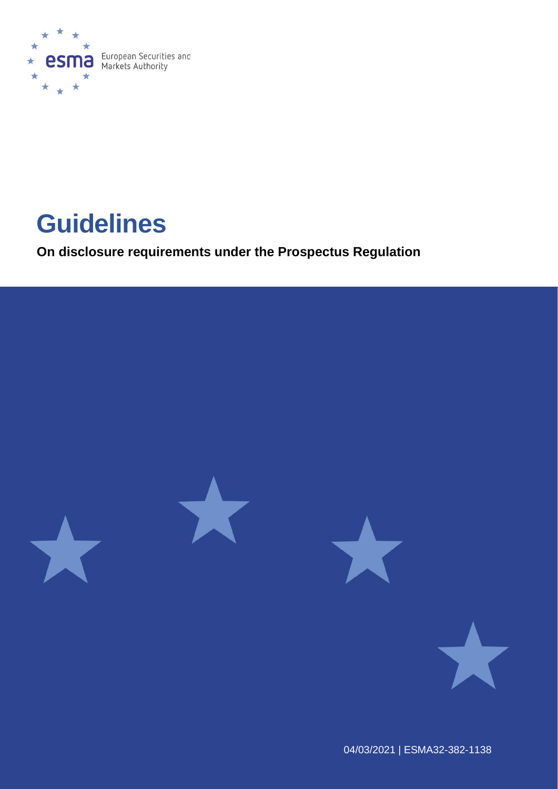

# **Guidelines**

**On disclosure requirements under the Prospectus Regulation**

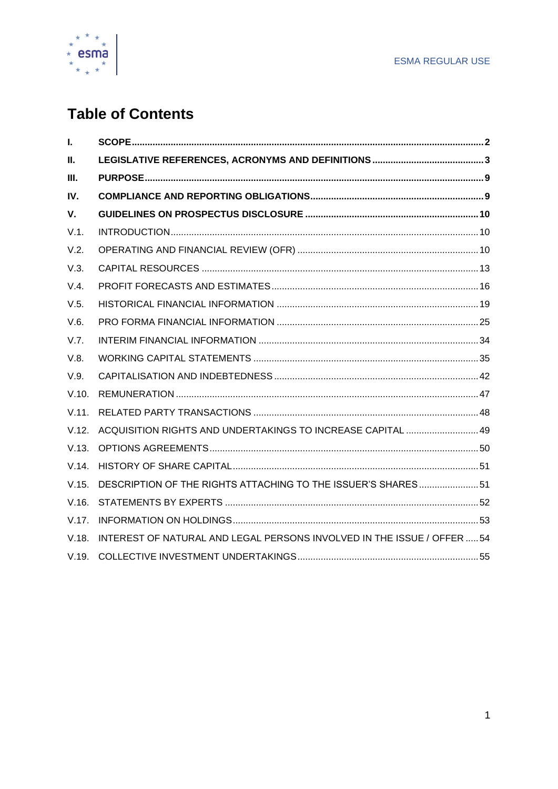

# **Table of Contents**

| L.    |                                                                         |  |
|-------|-------------------------------------------------------------------------|--|
| П.    |                                                                         |  |
| III.  |                                                                         |  |
| IV.   |                                                                         |  |
| V.    |                                                                         |  |
| V.1.  |                                                                         |  |
| V.2.  |                                                                         |  |
| V.3.  |                                                                         |  |
| V.4.  |                                                                         |  |
| V.5.  |                                                                         |  |
| V.6.  |                                                                         |  |
| V.7.  |                                                                         |  |
| V.8.  |                                                                         |  |
| V.9.  |                                                                         |  |
| V.10. |                                                                         |  |
| V.11. |                                                                         |  |
| V.12. | ACQUISITION RIGHTS AND UNDERTAKINGS TO INCREASE CAPITAL  49             |  |
| V.13. |                                                                         |  |
| V.14. |                                                                         |  |
| V.15. | DESCRIPTION OF THE RIGHTS ATTACHING TO THE ISSUER'S SHARES 51           |  |
| V.16. |                                                                         |  |
| V.17. |                                                                         |  |
| V.18. | INTEREST OF NATURAL AND LEGAL PERSONS INVOLVED IN THE ISSUE / OFFER  54 |  |
| V.19. |                                                                         |  |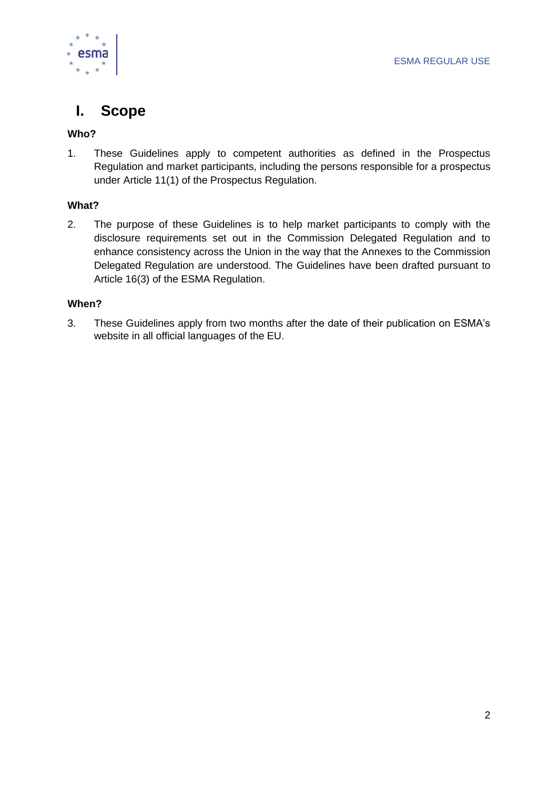



# <span id="page-2-0"></span>**I. Scope**

#### **Who?**

1. These Guidelines apply to competent authorities as defined in the Prospectus Regulation and market participants, including the persons responsible for a prospectus under Article 11(1) of the Prospectus Regulation.

#### **What?**

2. The purpose of these Guidelines is to help market participants to comply with the disclosure requirements set out in the Commission Delegated Regulation and to enhance consistency across the Union in the way that the Annexes to the Commission Delegated Regulation are understood. The Guidelines have been drafted pursuant to Article 16(3) of the ESMA Regulation.

#### **When?**

3. These Guidelines apply from two months after the date of their publication on ESMA's website in all official languages of the EU.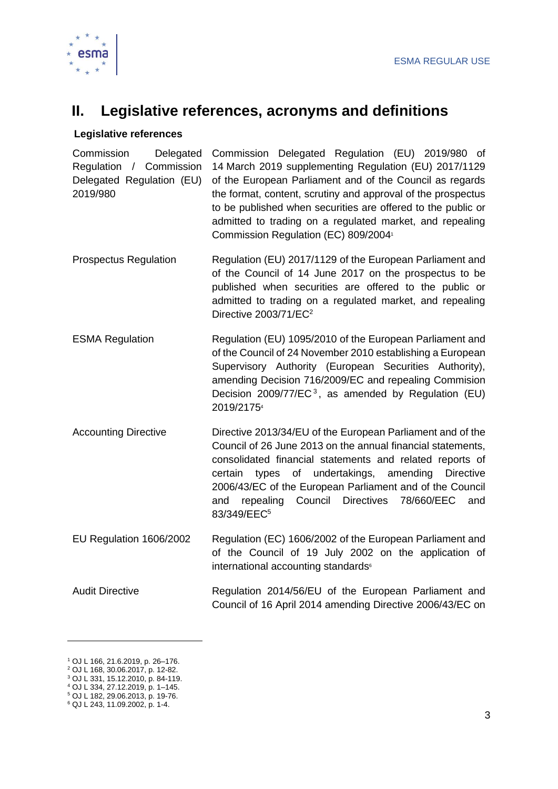

# <span id="page-3-0"></span>**II. Legislative references, acronyms and definitions**

#### **Legislative references**

Commission Delegated Regulation / Commission Delegated Regulation (EU) 2019/980 Commission Delegated Regulation (EU) 2019/980 of 14 March 2019 supplementing Regulation (EU) 2017/1129 of the European Parliament and of the Council as regards the format, content, scrutiny and approval of the prospectus to be published when securities are offered to the public or admitted to trading on a regulated market, and repealing Commission Regulation (EC) 809/2004<sup>1</sup>

- Prospectus Regulation Regulation (EU) 2017/1129 of the European Parliament and of the Council of 14 June 2017 on the prospectus to be published when securities are offered to the public or admitted to trading on a regulated market, and repealing Directive 2003/71/EC<sup>2</sup>
- ESMA Regulation **Regulation (EU) 1095/2010 of the European Parliament and** of the Council of 24 November 2010 establishing a European Supervisory Authority (European Securities Authority), amending Decision 716/2009/EC and repealing Commision Decision 2009/77/EC<sup>3</sup>, as amended by Regulation (EU) 2019/2175<sup>4</sup>
- Accounting Directive Directive 2013/34/EU of the European Parliament and of the Council of 26 June 2013 on the annual financial statements, consolidated financial statements and related reports of certain types of undertakings, amending Directive 2006/43/EC of the European Parliament and of the Council and repealing Council Directives 78/660/EEC and 83/349/EEC<sup>5</sup>
- EU Regulation 1606/2002 Regulation (EC) 1606/2002 of the European Parliament and of the Council of 19 July 2002 on the application of international accounting standards<sup>®</sup>
- Audit Directive **Regulation 2014/56/EU** of the European Parliament and Council of 16 April 2014 amending Directive 2006/43/EC on

<sup>1</sup> OJ L 166, 21.6.2019, p. 26–176.

<sup>2</sup> OJ L 168, 30.06.2017, p. 12-82. <sup>3</sup> OJ L 331, 15.12.2010, p. 84-119.

<sup>4</sup> OJ L 334, 27.12.2019, p. 1–145.

<sup>5</sup> OJ L 182, 29.06.2013, p. 19-76.

<sup>6</sup> QJ L 243, 11.09.2002, p. 1-4.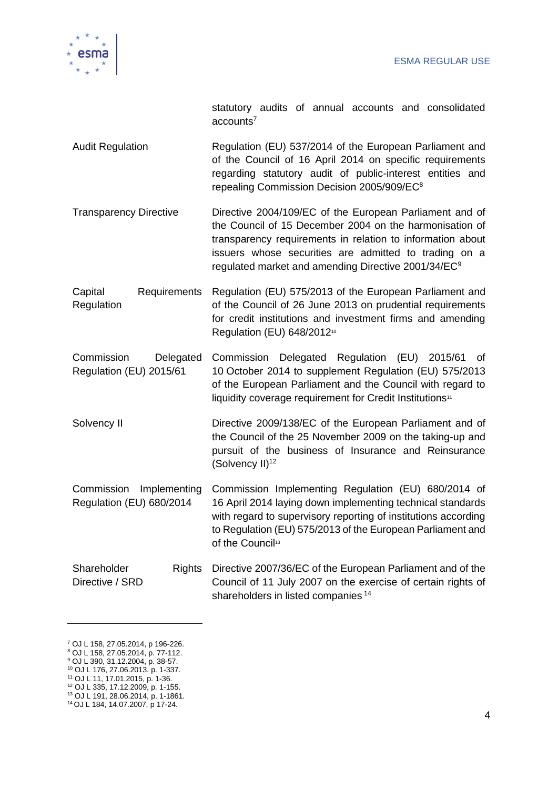

statutory audits of annual accounts and consolidated  $accounts<sup>7</sup>$ 

- Audit Regulation **Regulation Regulation** (EU) 537/2014 of the European Parliament and of the Council of 16 April 2014 on specific requirements regarding statutory audit of public-interest entities and repealing Commission Decision 2005/909/EC<sup>8</sup>
- Transparency Directive Directive 2004/109/EC of the European Parliament and of the Council of 15 December 2004 on the harmonisation of transparency requirements in relation to information about issuers whose securities are admitted to trading on a regulated market and amending Directive 2001/34/EC<sup>9</sup>
- Capital Requirements **Regulation** Regulation (EU) 575/2013 of the European Parliament and of the Council of 26 June 2013 on prudential requirements for credit institutions and investment firms and amending Regulation (EU) 648/2012<sup>10</sup>
- Commission Delegated Regulation (EU) 2015/61 Commission Delegated Regulation (EU) 2015/61 of 10 October 2014 to supplement Regulation (EU) 575/2013 of the European Parliament and the Council with regard to liquidity coverage requirement for Credit Institutions<sup>11</sup>
- Solvency II **Directive 2009/138/EC** of the European Parliament and of the Council of the 25 November 2009 on the taking-up and pursuit of the business of Insurance and Reinsurance (Solvency  $II)^{12}$
- Commission Implementing Regulation (EU) 680/2014 Commission Implementing Regulation (EU) 680/2014 of 16 April 2014 laying down implementing technical standards with regard to supervisory reporting of institutions according to Regulation (EU) 575/2013 of the European Parliament and of the Council<sup>13</sup>
- Shareholder Directive / SRD Rights Directive 2007/36/EC of the European Parliament and of the Council of 11 July 2007 on the exercise of certain rights of shareholders in listed companies<sup>14</sup>

- <sup>8</sup> OJ L 158, 27.05.2014, p. 77-112.
- <sup>9</sup> OJ L 390, 31.12.2004, p. 38-57. <sup>10</sup> OJ L 176, 27.06.2013. p. 1-337.
- <sup>11</sup> OJ L 11, 17.01.2015, p. 1-36.
- <sup>12</sup> OJ L 335, 17.12.2009, p. 1-155.
- <sup>13</sup> OJ L 191, 28.06.2014, p. 1-1861.
- <sup>14</sup> OJ L 184, 14.07.2007, p 17-24.

<sup>7</sup> OJ L 158, 27.05.2014, p 196-226.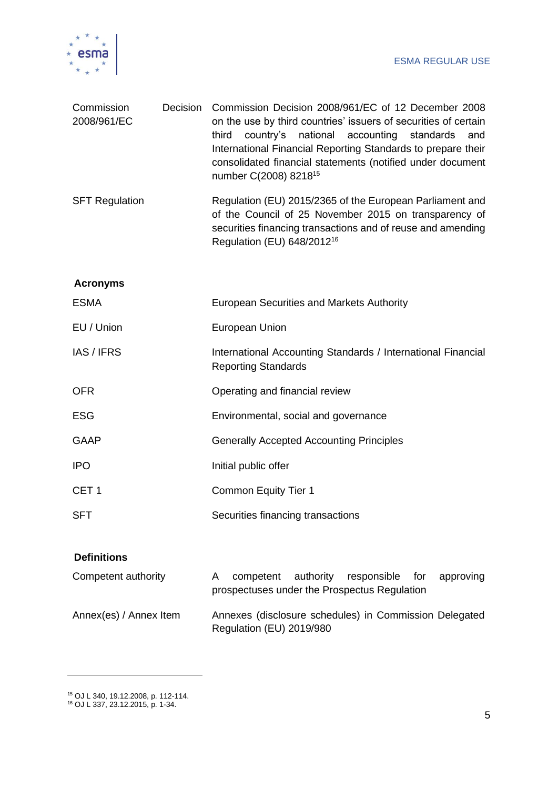

| Commission<br>2008/961/EC | Decision | Commission Decision 2008/961/EC of 12 December 2008<br>on the use by third countries' issuers of securities of certain<br>country's<br>national<br>accounting<br>third<br>standards<br>and<br>International Financial Reporting Standards to prepare their<br>consolidated financial statements (notified under document<br>number C(2008) 8218 <sup>15</sup> |
|---------------------------|----------|---------------------------------------------------------------------------------------------------------------------------------------------------------------------------------------------------------------------------------------------------------------------------------------------------------------------------------------------------------------|
| <b>SFT Regulation</b>     |          | Regulation (EU) 2015/2365 of the European Parliament and<br>of the Council of 25 November 2015 on transparency of<br>securities financing transactions and of reuse and amending<br>Regulation (EU) 648/2012 <sup>16</sup>                                                                                                                                    |
| <b>Acronyms</b>           |          |                                                                                                                                                                                                                                                                                                                                                               |
| <b>ESMA</b>               |          | European Securities and Markets Authority                                                                                                                                                                                                                                                                                                                     |
| EU / Union                |          | European Union                                                                                                                                                                                                                                                                                                                                                |
| IAS / IFRS                |          | International Accounting Standards / International Financial<br><b>Reporting Standards</b>                                                                                                                                                                                                                                                                    |
| <b>OFR</b>                |          | Operating and financial review                                                                                                                                                                                                                                                                                                                                |
| <b>ESG</b>                |          | Environmental, social and governance                                                                                                                                                                                                                                                                                                                          |
| <b>GAAP</b>               |          | <b>Generally Accepted Accounting Principles</b>                                                                                                                                                                                                                                                                                                               |
| <b>IPO</b>                |          | Initial public offer                                                                                                                                                                                                                                                                                                                                          |
| CET <sub>1</sub>          |          | <b>Common Equity Tier 1</b>                                                                                                                                                                                                                                                                                                                                   |
| <b>SFT</b>                |          | Securities financing transactions                                                                                                                                                                                                                                                                                                                             |

#### **Definitions**

| Competent authority    |                          | competent authority responsible for approving<br>prospectuses under the Prospectus Regulation |  |
|------------------------|--------------------------|-----------------------------------------------------------------------------------------------|--|
| Annex(es) / Annex Item | Regulation (EU) 2019/980 | Annexes (disclosure schedules) in Commission Delegated                                        |  |

<sup>15</sup> OJ L 340, 19.12.2008, p. 112-114.

<sup>16</sup> OJ L 337, 23.12.2015, p. 1-34.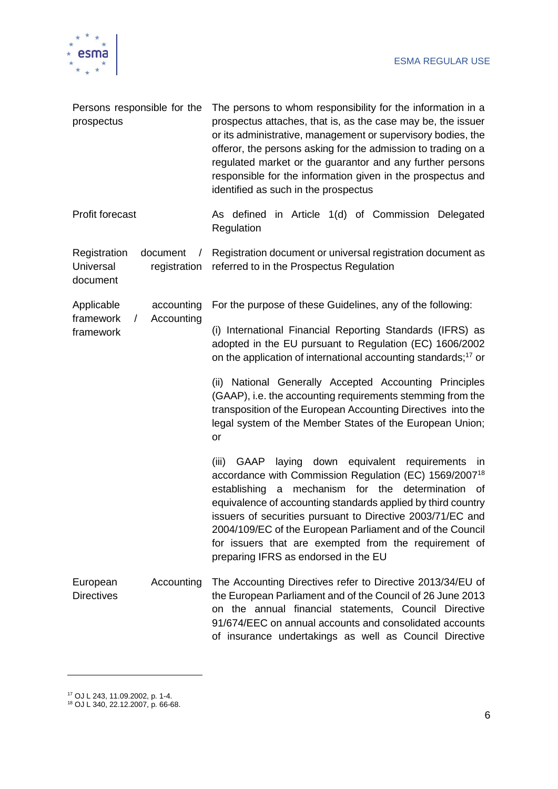

| Persons responsible for the<br>prospectus                                       | The persons to whom responsibility for the information in a<br>prospectus attaches, that is, as the case may be, the issuer<br>or its administrative, management or supervisory bodies, the<br>offeror, the persons asking for the admission to trading on a<br>regulated market or the guarantor and any further persons<br>responsible for the information given in the prospectus and<br>identified as such in the prospectus                                                           |  |  |  |
|---------------------------------------------------------------------------------|--------------------------------------------------------------------------------------------------------------------------------------------------------------------------------------------------------------------------------------------------------------------------------------------------------------------------------------------------------------------------------------------------------------------------------------------------------------------------------------------|--|--|--|
| <b>Profit forecast</b>                                                          | As defined in Article 1(d) of Commission Delegated<br>Regulation                                                                                                                                                                                                                                                                                                                                                                                                                           |  |  |  |
| Registration<br>document<br>$\sqrt{2}$<br>Universal<br>registration<br>document | Registration document or universal registration document as<br>referred to in the Prospectus Regulation                                                                                                                                                                                                                                                                                                                                                                                    |  |  |  |
| Applicable<br>accounting                                                        | For the purpose of these Guidelines, any of the following:                                                                                                                                                                                                                                                                                                                                                                                                                                 |  |  |  |
| framework<br>Accounting<br>$\sqrt{2}$<br>framework                              | (i) International Financial Reporting Standards (IFRS) as<br>adopted in the EU pursuant to Regulation (EC) 1606/2002<br>on the application of international accounting standards; <sup>17</sup> or                                                                                                                                                                                                                                                                                         |  |  |  |
|                                                                                 | (ii) National Generally Accepted Accounting Principles<br>(GAAP), i.e. the accounting requirements stemming from the<br>transposition of the European Accounting Directives into the<br>legal system of the Member States of the European Union;<br>or                                                                                                                                                                                                                                     |  |  |  |
|                                                                                 | laying down equivalent requirements<br>(iii)<br>GAAP<br>in<br>accordance with Commission Regulation (EC) 1569/2007 <sup>18</sup><br>mechanism for the determination<br>establishing<br>a<br>of<br>equivalence of accounting standards applied by third country<br>issuers of securities pursuant to Directive 2003/71/EC and<br>2004/109/EC of the European Parliament and of the Council<br>for issuers that are exempted from the requirement of<br>preparing IFRS as endorsed in the EU |  |  |  |
| Accounting<br>European<br><b>Directives</b>                                     | The Accounting Directives refer to Directive 2013/34/EU of<br>the European Parliament and of the Council of 26 June 2013<br>on the annual financial statements, Council Directive<br>91/674/EEC on annual accounts and consolidated accounts<br>of insurance undertakings as well as Council Directive                                                                                                                                                                                     |  |  |  |

 $\overline{\phantom{a}}$ 

<sup>17</sup> OJ L 243, 11.09.2002, p. 1-4.

<sup>18</sup> OJ L 340, 22.12.2007, p. 66-68.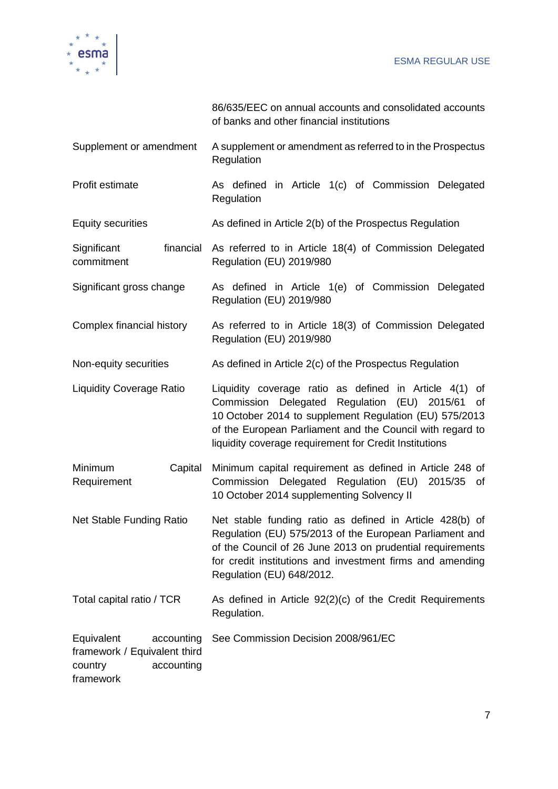

framework

|                                                                                   | 86/635/EEC on annual accounts and consolidated accounts<br>of banks and other financial institutions                                                                                                                                                                                          |
|-----------------------------------------------------------------------------------|-----------------------------------------------------------------------------------------------------------------------------------------------------------------------------------------------------------------------------------------------------------------------------------------------|
| Supplement or amendment                                                           | A supplement or amendment as referred to in the Prospectus<br>Regulation                                                                                                                                                                                                                      |
| Profit estimate                                                                   | As defined in Article 1(c) of Commission Delegated<br>Regulation                                                                                                                                                                                                                              |
| <b>Equity securities</b>                                                          | As defined in Article 2(b) of the Prospectus Regulation                                                                                                                                                                                                                                       |
| Significant<br>financial<br>commitment                                            | As referred to in Article 18(4) of Commission Delegated<br>Regulation (EU) 2019/980                                                                                                                                                                                                           |
| Significant gross change                                                          | As defined in Article 1(e) of Commission Delegated<br>Regulation (EU) 2019/980                                                                                                                                                                                                                |
| Complex financial history                                                         | As referred to in Article 18(3) of Commission Delegated<br>Regulation (EU) 2019/980                                                                                                                                                                                                           |
| Non-equity securities                                                             | As defined in Article 2(c) of the Prospectus Regulation                                                                                                                                                                                                                                       |
| <b>Liquidity Coverage Ratio</b>                                                   | Liquidity coverage ratio as defined in Article 4(1) of<br>Commission Delegated Regulation (EU) 2015/61<br>of<br>10 October 2014 to supplement Regulation (EU) 575/2013<br>of the European Parliament and the Council with regard to<br>liquidity coverage requirement for Credit Institutions |
| Minimum<br>Capital<br>Requirement                                                 | Minimum capital requirement as defined in Article 248 of<br>Commission Delegated Regulation (EU) 2015/35<br>of<br>10 October 2014 supplementing Solvency II                                                                                                                                   |
| Net Stable Funding Ratio                                                          | Net stable funding ratio as defined in Article 428(b) of<br>Regulation (EU) 575/2013 of the European Parliament and<br>of the Council of 26 June 2013 on prudential requirements<br>for credit institutions and investment firms and amending<br>Regulation (EU) 648/2012.                    |
| Total capital ratio / TCR                                                         | As defined in Article 92(2)(c) of the Credit Requirements<br>Regulation.                                                                                                                                                                                                                      |
| Equivalent<br>accounting<br>framework / Equivalent third<br>country<br>accounting | See Commission Decision 2008/961/EC                                                                                                                                                                                                                                                           |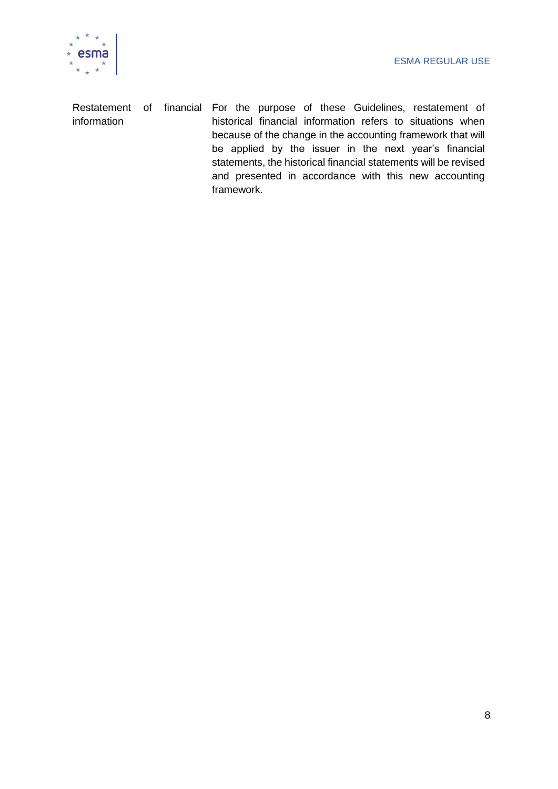

Restatement of financial For the purpose of these Guidelines, restatement of information historical financial information refers to situations when because of the change in the accounting framework that will be applied by the issuer in the next year's financial statements, the historical financial statements will be revised and presented in accordance with this new accounting framework.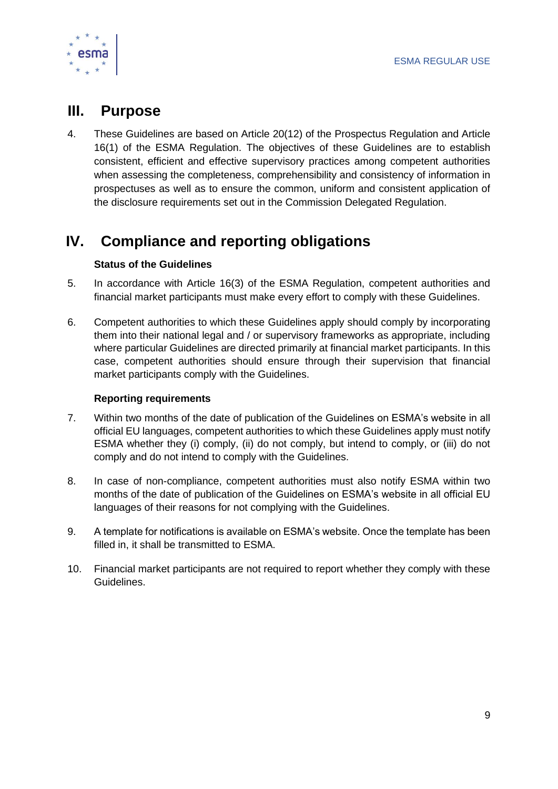

# <span id="page-9-0"></span>**III. Purpose**

4. These Guidelines are based on Article 20(12) of the Prospectus Regulation and Article 16(1) of the ESMA Regulation. The objectives of these Guidelines are to establish consistent, efficient and effective supervisory practices among competent authorities when assessing the completeness, comprehensibility and consistency of information in prospectuses as well as to ensure the common, uniform and consistent application of the disclosure requirements set out in the Commission Delegated Regulation.

# <span id="page-9-1"></span>**IV. Compliance and reporting obligations**

#### **Status of the Guidelines**

- 5. In accordance with Article 16(3) of the ESMA Regulation, competent authorities and financial market participants must make every effort to comply with these Guidelines.
- 6. Competent authorities to which these Guidelines apply should comply by incorporating them into their national legal and / or supervisory frameworks as appropriate, including where particular Guidelines are directed primarily at financial market participants. In this case, competent authorities should ensure through their supervision that financial market participants comply with the Guidelines.

#### **Reporting requirements**

- 7. Within two months of the date of publication of the Guidelines on ESMA's website in all official EU languages, competent authorities to which these Guidelines apply must notify ESMA whether they (i) comply, (ii) do not comply, but intend to comply, or (iii) do not comply and do not intend to comply with the Guidelines.
- 8. In case of non-compliance, competent authorities must also notify ESMA within two months of the date of publication of the Guidelines on ESMA's website in all official EU languages of their reasons for not complying with the Guidelines.
- 9. A template for notifications is available on ESMA's website. Once the template has been filled in, it shall be transmitted to ESMA.
- 10. Financial market participants are not required to report whether they comply with these Guidelines.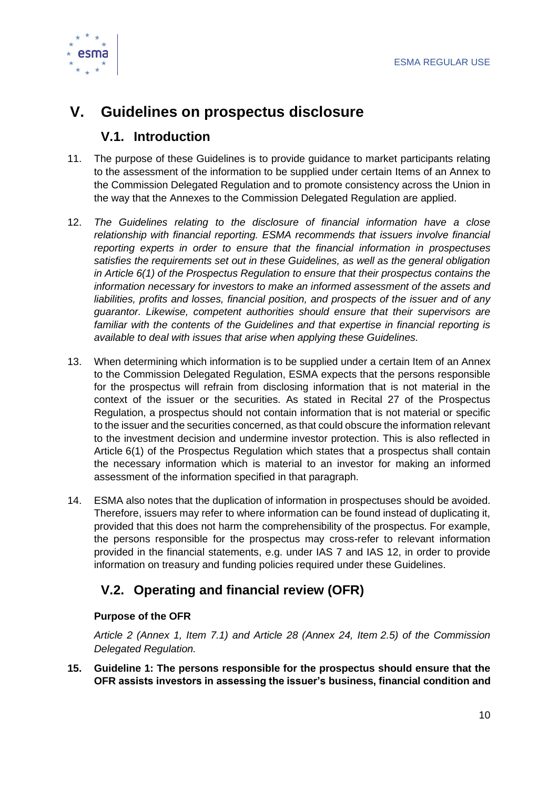

# <span id="page-10-0"></span>**V. Guidelines on prospectus disclosure**

### **V.1. Introduction**

- <span id="page-10-1"></span>11. The purpose of these Guidelines is to provide guidance to market participants relating to the assessment of the information to be supplied under certain Items of an Annex to the Commission Delegated Regulation and to promote consistency across the Union in the way that the Annexes to the Commission Delegated Regulation are applied.
- 12. *The Guidelines relating to the disclosure of financial information have a close relationship with financial reporting. ESMA recommends that issuers involve financial reporting experts in order to ensure that the financial information in prospectuses satisfies the requirements set out in these Guidelines, as well as the general obligation in Article 6(1) of the Prospectus Regulation to ensure that their prospectus contains the information necessary for investors to make an informed assessment of the assets and liabilities, profits and losses, financial position, and prospects of the issuer and of any guarantor. Likewise, competent authorities should ensure that their supervisors are familiar with the contents of the Guidelines and that expertise in financial reporting is available to deal with issues that arise when applying these Guidelines.*
- 13. When determining which information is to be supplied under a certain Item of an Annex to the Commission Delegated Regulation, ESMA expects that the persons responsible for the prospectus will refrain from disclosing information that is not material in the context of the issuer or the securities. As stated in Recital 27 of the Prospectus Regulation, a prospectus should not contain information that is not material or specific to the issuer and the securities concerned, as that could obscure the information relevant to the investment decision and undermine investor protection. This is also reflected in Article 6(1) of the Prospectus Regulation which states that a prospectus shall contain the necessary information which is material to an investor for making an informed assessment of the information specified in that paragraph.
- 14. ESMA also notes that the duplication of information in prospectuses should be avoided. Therefore, issuers may refer to where information can be found instead of duplicating it, provided that this does not harm the comprehensibility of the prospectus. For example, the persons responsible for the prospectus may cross-refer to relevant information provided in the financial statements, e.g. under IAS 7 and IAS 12, in order to provide information on treasury and funding policies required under these Guidelines.

# <span id="page-10-2"></span>**V.2. Operating and financial review (OFR)**

#### **Purpose of the OFR**

*Article 2 (Annex 1, Item 7.1) and Article 28 (Annex 24, Item 2.5) of the Commission Delegated Regulation.*

**15. Guideline 1: The persons responsible for the prospectus should ensure that the OFR assists investors in assessing the issuer's business, financial condition and**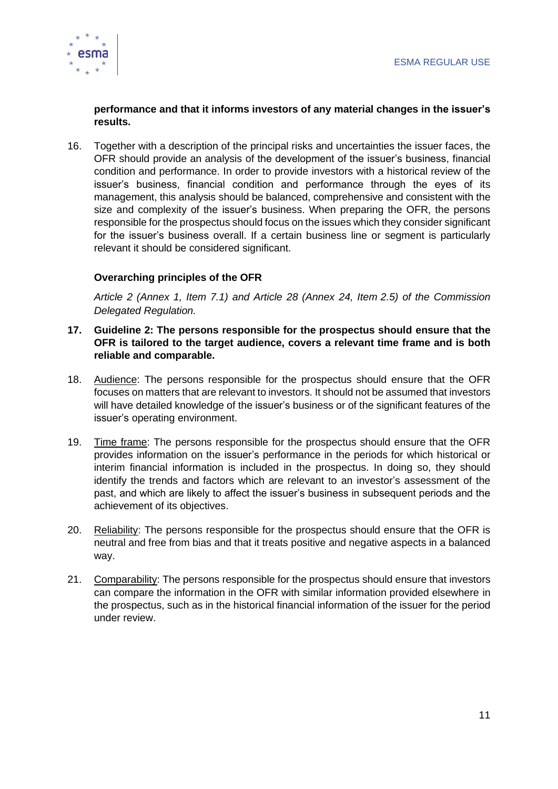

#### **performance and that it informs investors of any material changes in the issuer's results.**

16. Together with a description of the principal risks and uncertainties the issuer faces, the OFR should provide an analysis of the development of the issuer's business, financial condition and performance. In order to provide investors with a historical review of the issuer's business, financial condition and performance through the eyes of its management, this analysis should be balanced, comprehensive and consistent with the size and complexity of the issuer's business. When preparing the OFR, the persons responsible for the prospectus should focus on the issues which they consider significant for the issuer's business overall. If a certain business line or segment is particularly relevant it should be considered significant.

#### **Overarching principles of the OFR**

*Article 2 (Annex 1, Item 7.1) and Article 28 (Annex 24, Item 2.5) of the Commission Delegated Regulation.*

- **17. Guideline 2: The persons responsible for the prospectus should ensure that the OFR is tailored to the target audience, covers a relevant time frame and is both reliable and comparable.**
- 18. Audience: The persons responsible for the prospectus should ensure that the OFR focuses on matters that are relevant to investors. It should not be assumed that investors will have detailed knowledge of the issuer's business or of the significant features of the issuer's operating environment.
- 19. Time frame: The persons responsible for the prospectus should ensure that the OFR provides information on the issuer's performance in the periods for which historical or interim financial information is included in the prospectus. In doing so, they should identify the trends and factors which are relevant to an investor's assessment of the past, and which are likely to affect the issuer's business in subsequent periods and the achievement of its objectives.
- 20. Reliability: The persons responsible for the prospectus should ensure that the OFR is neutral and free from bias and that it treats positive and negative aspects in a balanced way.
- 21. Comparability: The persons responsible for the prospectus should ensure that investors can compare the information in the OFR with similar information provided elsewhere in the prospectus, such as in the historical financial information of the issuer for the period under review.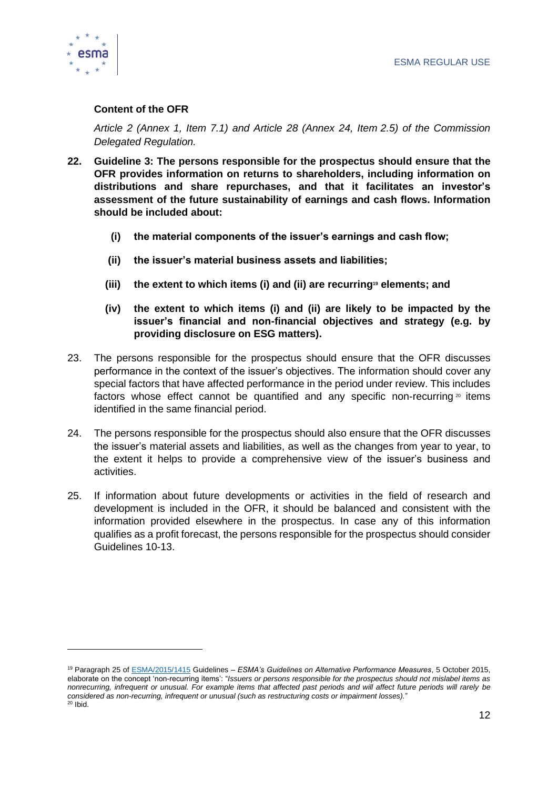

#### **Content of the OFR**

*Article 2 (Annex 1, Item 7.1) and Article 28 (Annex 24, Item 2.5) of the Commission Delegated Regulation.*

- **22. Guideline 3: The persons responsible for the prospectus should ensure that the OFR provides information on returns to shareholders, including information on distributions and share repurchases, and that it facilitates an investor's assessment of the future sustainability of earnings and cash flows. Information should be included about:**
	- **(i) the material components of the issuer's earnings and cash flow;**
	- **(ii) the issuer's material business assets and liabilities;**
	- **(iii) the extent to which items (i) and (ii) are recurring<sup>19</sup> elements; and**
	- **(iv) the extent to which items (i) and (ii) are likely to be impacted by the issuer's financial and non-financial objectives and strategy (e.g. by providing disclosure on ESG matters).**
- 23. The persons responsible for the prospectus should ensure that the OFR discusses performance in the context of the issuer's objectives. The information should cover any special factors that have affected performance in the period under review. This includes factors whose effect cannot be quantified and any specific non-recurring  $20$  items identified in the same financial period.
- 24. The persons responsible for the prospectus should also ensure that the OFR discusses the issuer's material assets and liabilities, as well as the changes from year to year, to the extent it helps to provide a comprehensive view of the issuer's business and activities.
- 25. If information about future developments or activities in the field of research and development is included in the OFR, it should be balanced and consistent with the information provided elsewhere in the prospectus. In case any of this information qualifies as a profit forecast, the persons responsible for the prospectus should consider Guidelines 10-13.

<sup>19</sup> Paragraph 25 of [ESMA/2015/1415](https://www.esma.europa.eu/sites/default/files/library/2015/10/2015-esma-1415en.pdf) Guidelines – *ESMA's Guidelines on Alternative Performance Measures*, 5 October 2015, elaborate on the concept 'non-recurring items': "*Issuers or persons responsible for the prospectus should not mislabel items as nonrecurring, infrequent or unusual. For example items that affected past periods and will affect future periods will rarely be considered as non-recurring, infrequent or unusual (such as restructuring costs or impairment losses).*"  $20$  Ibid.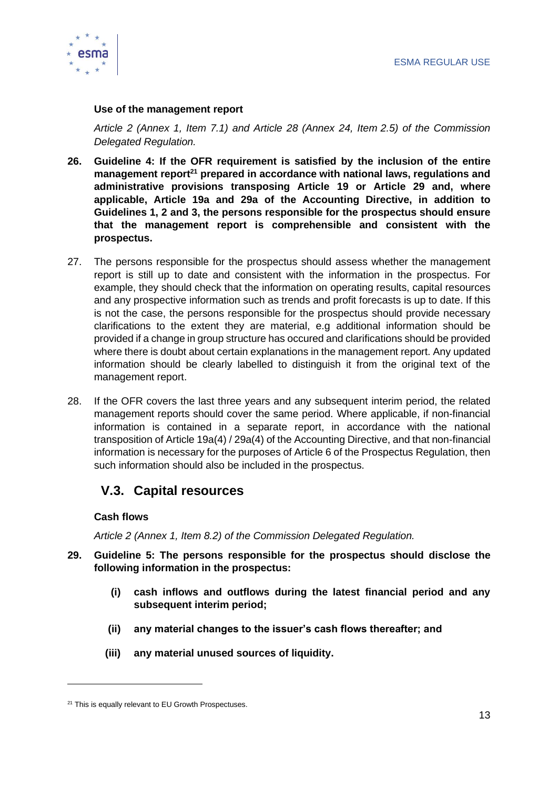

#### **Use of the management report**

*Article 2 (Annex 1, Item 7.1) and Article 28 (Annex 24, Item 2.5) of the Commission Delegated Regulation.*

- **26. Guideline 4: If the OFR requirement is satisfied by the inclusion of the entire management report<sup>21</sup> prepared in accordance with national laws, regulations and administrative provisions transposing Article 19 or Article 29 and, where applicable, Article 19a and 29a of the Accounting Directive, in addition to Guidelines 1, 2 and 3, the persons responsible for the prospectus should ensure that the management report is comprehensible and consistent with the prospectus.**
- 27. The persons responsible for the prospectus should assess whether the management report is still up to date and consistent with the information in the prospectus. For example, they should check that the information on operating results, capital resources and any prospective information such as trends and profit forecasts is up to date. If this is not the case, the persons responsible for the prospectus should provide necessary clarifications to the extent they are material, e.g additional information should be provided if a change in group structure has occured and clarifications should be provided where there is doubt about certain explanations in the management report. Any updated information should be clearly labelled to distinguish it from the original text of the management report.
- 28. If the OFR covers the last three years and any subsequent interim period, the related management reports should cover the same period. Where applicable, if non-financial information is contained in a separate report, in accordance with the national transposition of Article 19a(4) / 29a(4) of the Accounting Directive, and that non-financial information is necessary for the purposes of Article 6 of the Prospectus Regulation, then such information should also be included in the prospectus.

# <span id="page-13-0"></span>**V.3. Capital resources**

#### **Cash flows**

*Article 2 (Annex 1, Item 8.2) of the Commission Delegated Regulation.*

- **29. Guideline 5: The persons responsible for the prospectus should disclose the following information in the prospectus:**
	- **(i) cash inflows and outflows during the latest financial period and any subsequent interim period;**
	- **(ii) any material changes to the issuer's cash flows thereafter; and**
	- **(iii) any material unused sources of liquidity.**

<sup>&</sup>lt;sup>21</sup> This is equally relevant to EU Growth Prospectuses.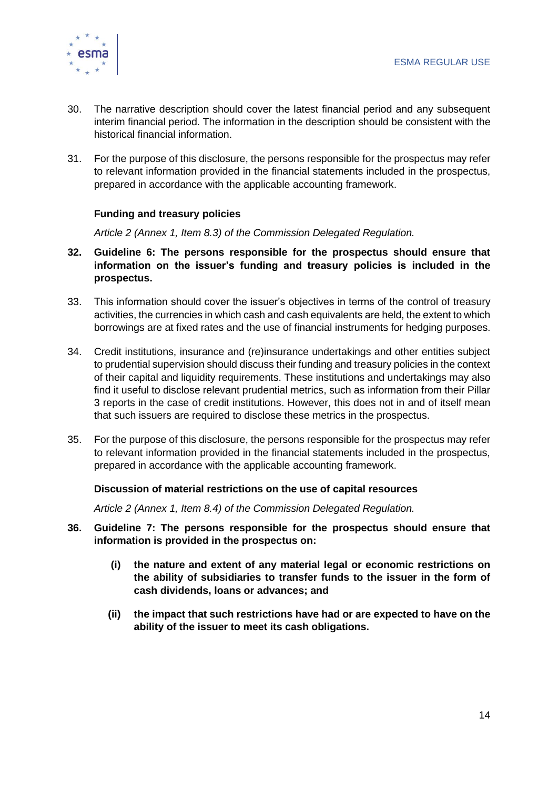

- 30. The narrative description should cover the latest financial period and any subsequent interim financial period. The information in the description should be consistent with the historical financial information.
- 31. For the purpose of this disclosure, the persons responsible for the prospectus may refer to relevant information provided in the financial statements included in the prospectus, prepared in accordance with the applicable accounting framework.

#### **Funding and treasury policies**

*Article 2 (Annex 1, Item 8.3) of the Commission Delegated Regulation.*

- **32. Guideline 6: The persons responsible for the prospectus should ensure that information on the issuer's funding and treasury policies is included in the prospectus.**
- 33. This information should cover the issuer's objectives in terms of the control of treasury activities, the currencies in which cash and cash equivalents are held, the extent to which borrowings are at fixed rates and the use of financial instruments for hedging purposes.
- 34. Credit institutions, insurance and (re)insurance undertakings and other entities subject to prudential supervision should discuss their funding and treasury policies in the context of their capital and liquidity requirements. These institutions and undertakings may also find it useful to disclose relevant prudential metrics, such as information from their Pillar 3 reports in the case of credit institutions. However, this does not in and of itself mean that such issuers are required to disclose these metrics in the prospectus.
- 35. For the purpose of this disclosure, the persons responsible for the prospectus may refer to relevant information provided in the financial statements included in the prospectus, prepared in accordance with the applicable accounting framework.

#### **Discussion of material restrictions on the use of capital resources**

*Article 2 (Annex 1, Item 8.4) of the Commission Delegated Regulation.* 

- **36. Guideline 7: The persons responsible for the prospectus should ensure that information is provided in the prospectus on:**
	- **(i) the nature and extent of any material legal or economic restrictions on the ability of subsidiaries to transfer funds to the issuer in the form of cash dividends, loans or advances; and**
	- **(ii) the impact that such restrictions have had or are expected to have on the ability of the issuer to meet its cash obligations.**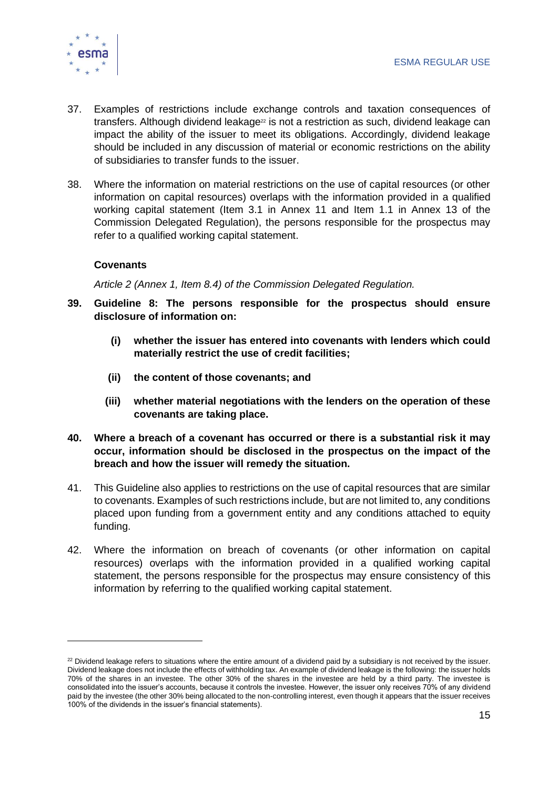

- 37. Examples of restrictions include exchange controls and taxation consequences of transfers. Although dividend leakage<sup>22</sup> is not a restriction as such, dividend leakage can impact the ability of the issuer to meet its obligations. Accordingly, dividend leakage should be included in any discussion of material or economic restrictions on the ability of subsidiaries to transfer funds to the issuer.
- 38. Where the information on material restrictions on the use of capital resources (or other information on capital resources) overlaps with the information provided in a qualified working capital statement (Item 3.1 in Annex 11 and Item 1.1 in Annex 13 of the Commission Delegated Regulation), the persons responsible for the prospectus may refer to a qualified working capital statement.

#### **Covenants**

*Article 2 (Annex 1, Item 8.4) of the Commission Delegated Regulation.*

- **39. Guideline 8: The persons responsible for the prospectus should ensure disclosure of information on:**
	- **(i) whether the issuer has entered into covenants with lenders which could materially restrict the use of credit facilities;**
	- **(ii) the content of those covenants; and**
	- **(iii) whether material negotiations with the lenders on the operation of these covenants are taking place.**
- **40. Where a breach of a covenant has occurred or there is a substantial risk it may occur, information should be disclosed in the prospectus on the impact of the breach and how the issuer will remedy the situation.**
- 41. This Guideline also applies to restrictions on the use of capital resources that are similar to covenants. Examples of such restrictions include, but are not limited to, any conditions placed upon funding from a government entity and any conditions attached to equity funding.
- 42. Where the information on breach of covenants (or other information on capital resources) overlaps with the information provided in a qualified working capital statement, the persons responsible for the prospectus may ensure consistency of this information by referring to the qualified working capital statement.

<sup>&</sup>lt;sup>22</sup> Dividend leakage refers to situations where the entire amount of a dividend paid by a subsidiary is not received by the issuer. Dividend leakage does not include the effects of withholding tax. An example of dividend leakage is the following: the issuer holds 70% of the shares in an investee. The other 30% of the shares in the investee are held by a third party. The investee is consolidated into the issuer's accounts, because it controls the investee. However, the issuer only receives 70% of any dividend paid by the investee (the other 30% being allocated to the non-controlling interest, even though it appears that the issuer receives 100% of the dividends in the issuer's financial statements).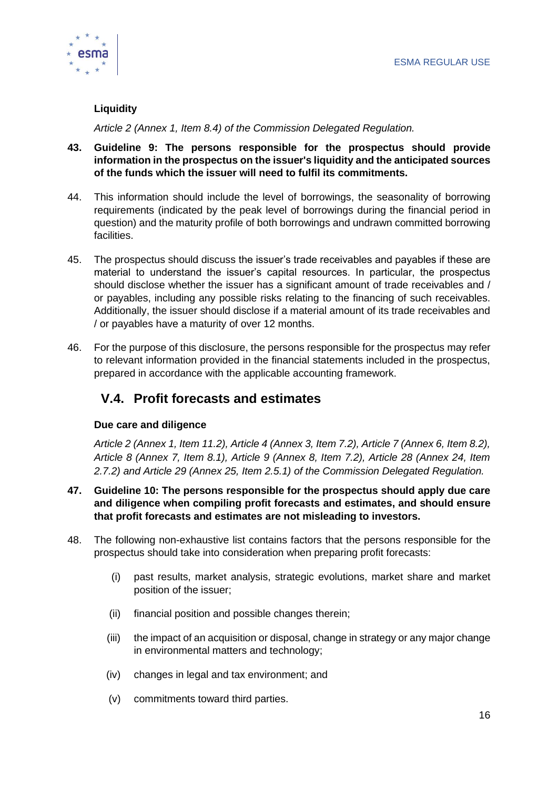

#### **Liquidity**

*Article 2 (Annex 1, Item 8.4) of the Commission Delegated Regulation.*

- **43. Guideline 9: The persons responsible for the prospectus should provide information in the prospectus on the issuer's liquidity and the anticipated sources of the funds which the issuer will need to fulfil its commitments.**
- 44. This information should include the level of borrowings, the seasonality of borrowing requirements (indicated by the peak level of borrowings during the financial period in question) and the maturity profile of both borrowings and undrawn committed borrowing facilities.
- 45. The prospectus should discuss the issuer's trade receivables and payables if these are material to understand the issuer's capital resources. In particular, the prospectus should disclose whether the issuer has a significant amount of trade receivables and / or payables, including any possible risks relating to the financing of such receivables. Additionally, the issuer should disclose if a material amount of its trade receivables and / or payables have a maturity of over 12 months.
- 46. For the purpose of this disclosure, the persons responsible for the prospectus may refer to relevant information provided in the financial statements included in the prospectus, prepared in accordance with the applicable accounting framework.

# <span id="page-16-0"></span>**V.4. Profit forecasts and estimates**

#### **Due care and diligence**

*Article 2 (Annex 1, Item 11.2), Article 4 (Annex 3, Item 7.2), Article 7 (Annex 6, Item 8.2), Article 8 (Annex 7, Item 8.1), Article 9 (Annex 8, Item 7.2), Article 28 (Annex 24, Item 2.7.2) and Article 29 (Annex 25, Item 2.5.1) of the Commission Delegated Regulation.*

- **47. Guideline 10: The persons responsible for the prospectus should apply due care and diligence when compiling profit forecasts and estimates, and should ensure that profit forecasts and estimates are not misleading to investors.**
- 48. The following non-exhaustive list contains factors that the persons responsible for the prospectus should take into consideration when preparing profit forecasts:
	- (i) past results, market analysis, strategic evolutions, market share and market position of the issuer;
	- (ii) financial position and possible changes therein;
	- (iii) the impact of an acquisition or disposal, change in strategy or any major change in environmental matters and technology;
	- (iv) changes in legal and tax environment; and
	- (v) commitments toward third parties.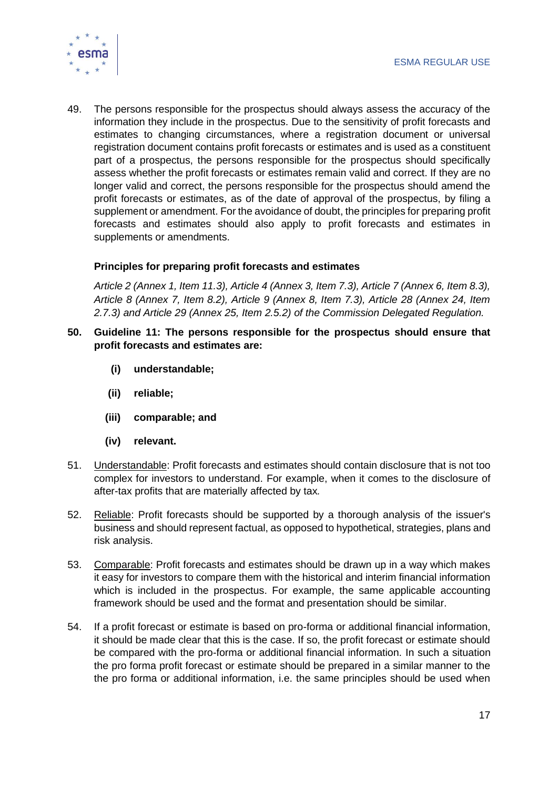

49. The persons responsible for the prospectus should always assess the accuracy of the information they include in the prospectus. Due to the sensitivity of profit forecasts and estimates to changing circumstances, where a registration document or universal registration document contains profit forecasts or estimates and is used as a constituent part of a prospectus, the persons responsible for the prospectus should specifically assess whether the profit forecasts or estimates remain valid and correct. If they are no longer valid and correct, the persons responsible for the prospectus should amend the profit forecasts or estimates, as of the date of approval of the prospectus, by filing a supplement or amendment. For the avoidance of doubt, the principles for preparing profit forecasts and estimates should also apply to profit forecasts and estimates in supplements or amendments.

#### **Principles for preparing profit forecasts and estimates**

*Article 2 (Annex 1, Item 11.3), Article 4 (Annex 3, Item 7.3), Article 7 (Annex 6, Item 8.3), Article 8 (Annex 7, Item 8.2), Article 9 (Annex 8, Item 7.3), Article 28 (Annex 24, Item 2.7.3) and Article 29 (Annex 25, Item 2.5.2) of the Commission Delegated Regulation.*

- **50. Guideline 11: The persons responsible for the prospectus should ensure that profit forecasts and estimates are:**
	- **(i) understandable;**
	- **(ii) reliable;**
	- **(iii) comparable; and**
	- **(iv) relevant.**
- 51. Understandable: Profit forecasts and estimates should contain disclosure that is not too complex for investors to understand. For example, when it comes to the disclosure of after-tax profits that are materially affected by tax*.*
- 52. Reliable: Profit forecasts should be supported by a thorough analysis of the issuer's business and should represent factual, as opposed to hypothetical, strategies, plans and risk analysis.
- 53. Comparable: Profit forecasts and estimates should be drawn up in a way which makes it easy for investors to compare them with the historical and interim financial information which is included in the prospectus. For example, the same applicable accounting framework should be used and the format and presentation should be similar.
- 54. If a profit forecast or estimate is based on pro-forma or additional financial information, it should be made clear that this is the case. If so, the profit forecast or estimate should be compared with the pro-forma or additional financial information. In such a situation the pro forma profit forecast or estimate should be prepared in a similar manner to the the pro forma or additional information, i.e. the same principles should be used when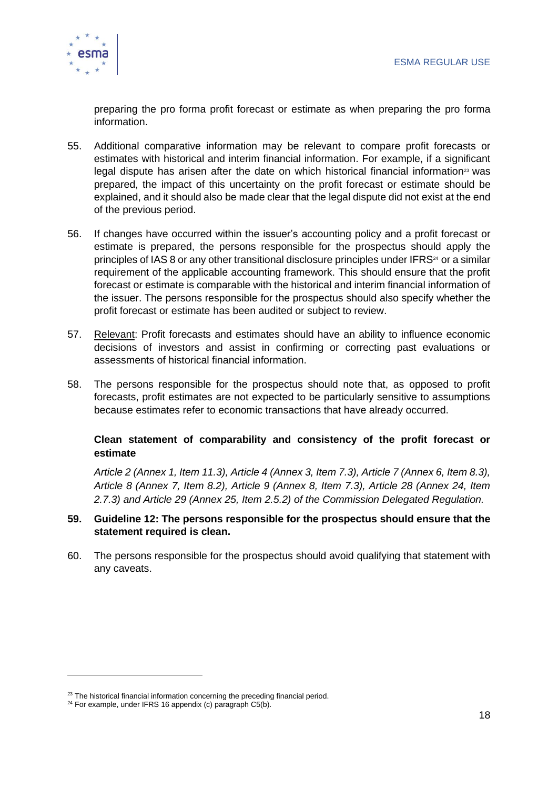

preparing the pro forma profit forecast or estimate as when preparing the pro forma information.

- 55. Additional comparative information may be relevant to compare profit forecasts or estimates with historical and interim financial information. For example, if a significant legal dispute has arisen after the date on which historical financial information<sup>23</sup> was prepared, the impact of this uncertainty on the profit forecast or estimate should be explained, and it should also be made clear that the legal dispute did not exist at the end of the previous period.
- 56. If changes have occurred within the issuer's accounting policy and a profit forecast or estimate is prepared, the persons responsible for the prospectus should apply the principles of IAS 8 or any other transitional disclosure principles under IFRS<sup>24</sup> or a similar requirement of the applicable accounting framework. This should ensure that the profit forecast or estimate is comparable with the historical and interim financial information of the issuer. The persons responsible for the prospectus should also specify whether the profit forecast or estimate has been audited or subject to review.
- 57. Relevant: Profit forecasts and estimates should have an ability to influence economic decisions of investors and assist in confirming or correcting past evaluations or assessments of historical financial information.
- 58. The persons responsible for the prospectus should note that, as opposed to profit forecasts, profit estimates are not expected to be particularly sensitive to assumptions because estimates refer to economic transactions that have already occurred.

#### **Clean statement of comparability and consistency of the profit forecast or estimate**

*Article 2 (Annex 1, Item 11.3), Article 4 (Annex 3, Item 7.3), Article 7 (Annex 6, Item 8.3), Article 8 (Annex 7, Item 8.2), Article 9 (Annex 8, Item 7.3), Article 28 (Annex 24, Item 2.7.3) and Article 29 (Annex 25, Item 2.5.2) of the Commission Delegated Regulation.*

#### **59. Guideline 12: The persons responsible for the prospectus should ensure that the statement required is clean.**

60. The persons responsible for the prospectus should avoid qualifying that statement with any caveats.

 $23$  The historical financial information concerning the preceding financial period.

 $24$  For example, under IFRS 16 appendix (c) paragraph C5(b).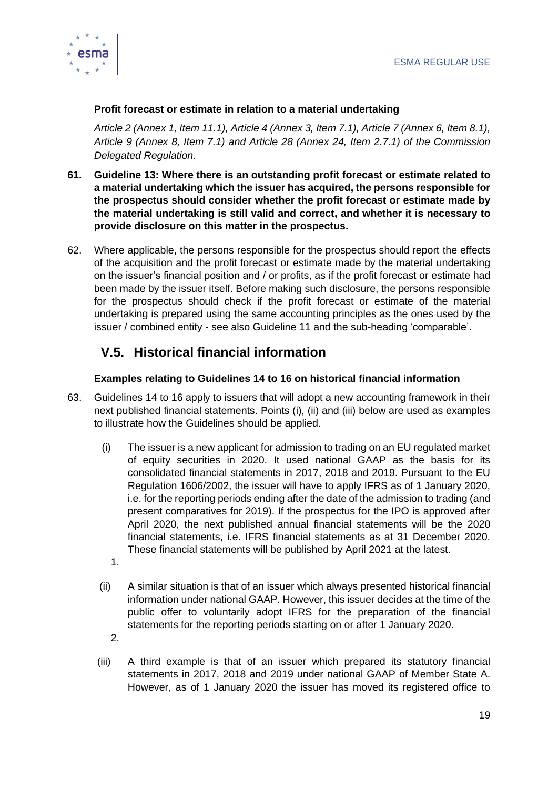

#### **Profit forecast or estimate in relation to a material undertaking**

*Article 2 (Annex 1, Item 11.1), Article 4 (Annex 3, Item 7.1), Article 7 (Annex 6, Item 8.1), Article 9 (Annex 8, Item 7.1) and Article 28 (Annex 24, Item 2.7.1) of the Commission Delegated Regulation.*

- **61. Guideline 13: Where there is an outstanding profit forecast or estimate related to a material undertaking which the issuer has acquired, the persons responsible for the prospectus should consider whether the profit forecast or estimate made by the material undertaking is still valid and correct, and whether it is necessary to provide disclosure on this matter in the prospectus.**
- 62. Where applicable, the persons responsible for the prospectus should report the effects of the acquisition and the profit forecast or estimate made by the material undertaking on the issuer's financial position and / or profits, as if the profit forecast or estimate had been made by the issuer itself. Before making such disclosure, the persons responsible for the prospectus should check if the profit forecast or estimate of the material undertaking is prepared using the same accounting principles as the ones used by the issuer / combined entity - see also Guideline 11 and the sub-heading 'comparable'.

# <span id="page-19-0"></span>**V.5. Historical financial information**

#### **Examples relating to Guidelines 14 to 16 on historical financial information**

- 63. Guidelines 14 to 16 apply to issuers that will adopt a new accounting framework in their next published financial statements. Points (i), (ii) and (iii) below are used as examples to illustrate how the Guidelines should be applied.
	- (i) The issuer is a new applicant for admission to trading on an EU regulated market of equity securities in 2020. It used national GAAP as the basis for its consolidated financial statements in 2017, 2018 and 2019. Pursuant to the EU Regulation 1606/2002, the issuer will have to apply IFRS as of 1 January 2020, i.e. for the reporting periods ending after the date of the admission to trading (and present comparatives for 2019). If the prospectus for the IPO is approved after April 2020, the next published annual financial statements will be the 2020 financial statements, i.e. IFRS financial statements as at 31 December 2020. These financial statements will be published by April 2021 at the latest.
		- 1.
	- (ii) A similar situation is that of an issuer which always presented historical financial information under national GAAP. However, this issuer decides at the time of the public offer to voluntarily adopt IFRS for the preparation of the financial statements for the reporting periods starting on or after 1 January 2020.
		- 2.
	- (iii) A third example is that of an issuer which prepared its statutory financial statements in 2017, 2018 and 2019 under national GAAP of Member State A. However, as of 1 January 2020 the issuer has moved its registered office to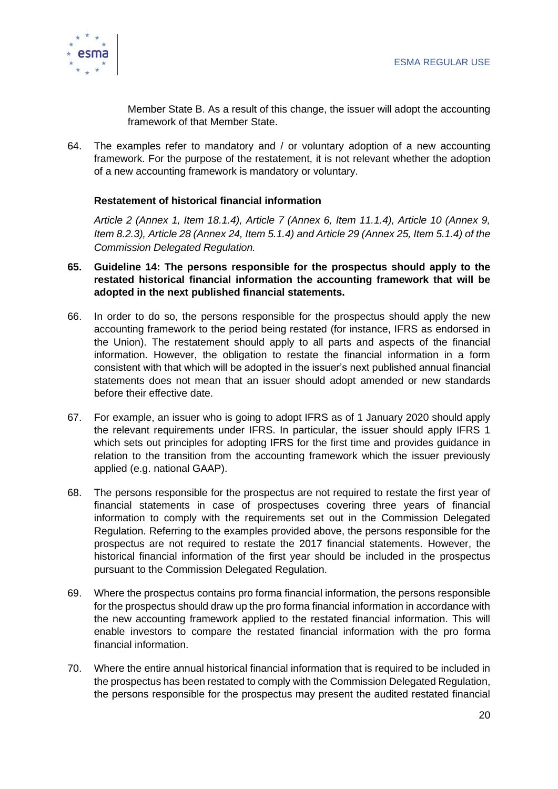

Member State B. As a result of this change, the issuer will adopt the accounting framework of that Member State.

64. The examples refer to mandatory and / or voluntary adoption of a new accounting framework. For the purpose of the restatement, it is not relevant whether the adoption of a new accounting framework is mandatory or voluntary.

#### **Restatement of historical financial information**

*Article 2 (Annex 1, Item 18.1.4), Article 7 (Annex 6, Item 11.1.4), Article 10 (Annex 9, Item 8.2.3), Article 28 (Annex 24, Item 5.1.4) and Article 29 (Annex 25, Item 5.1.4) of the Commission Delegated Regulation.*

- **65. Guideline 14: The persons responsible for the prospectus should apply to the restated historical financial information the accounting framework that will be adopted in the next published financial statements.**
- 66. In order to do so, the persons responsible for the prospectus should apply the new accounting framework to the period being restated (for instance, IFRS as endorsed in the Union). The restatement should apply to all parts and aspects of the financial information. However, the obligation to restate the financial information in a form consistent with that which will be adopted in the issuer's next published annual financial statements does not mean that an issuer should adopt amended or new standards before their effective date.
- 67. For example, an issuer who is going to adopt IFRS as of 1 January 2020 should apply the relevant requirements under IFRS. In particular, the issuer should apply IFRS 1 which sets out principles for adopting IFRS for the first time and provides guidance in relation to the transition from the accounting framework which the issuer previously applied (e.g. national GAAP).
- 68. The persons responsible for the prospectus are not required to restate the first year of financial statements in case of prospectuses covering three years of financial information to comply with the requirements set out in the Commission Delegated Regulation. Referring to the examples provided above, the persons responsible for the prospectus are not required to restate the 2017 financial statements. However, the historical financial information of the first year should be included in the prospectus pursuant to the Commission Delegated Regulation.
- 69. Where the prospectus contains pro forma financial information, the persons responsible for the prospectus should draw up the pro forma financial information in accordance with the new accounting framework applied to the restated financial information. This will enable investors to compare the restated financial information with the pro forma financial information.
- 70. Where the entire annual historical financial information that is required to be included in the prospectus has been restated to comply with the Commission Delegated Regulation, the persons responsible for the prospectus may present the audited restated financial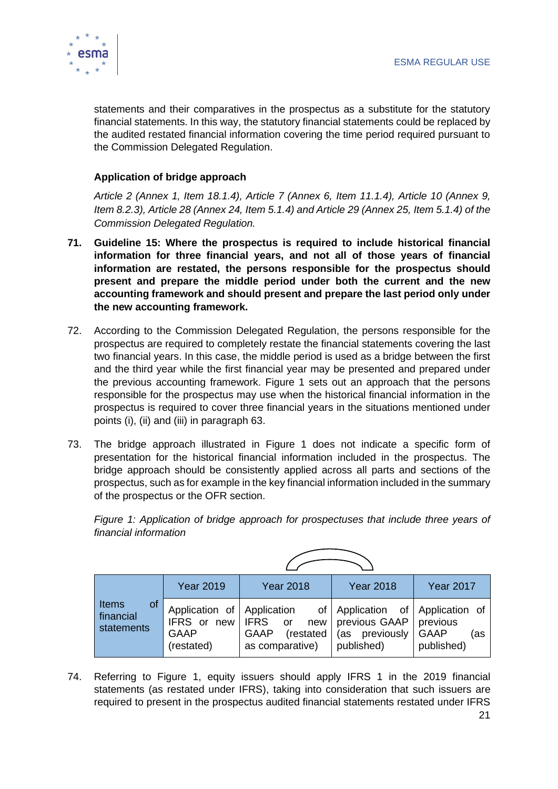

statements and their comparatives in the prospectus as a substitute for the statutory financial statements. In this way, the statutory financial statements could be replaced by the audited restated financial information covering the time period required pursuant to the Commission Delegated Regulation.

#### **Application of bridge approach**

*Article 2 (Annex 1, Item 18.1.4), Article 7 (Annex 6, Item 11.1.4), Article 10 (Annex 9, Item 8.2.3), Article 28 (Annex 24, Item 5.1.4) and Article 29 (Annex 25, Item 5.1.4) of the Commission Delegated Regulation.*

- **71. Guideline 15: Where the prospectus is required to include historical financial information for three financial years, and not all of those years of financial information are restated, the persons responsible for the prospectus should present and prepare the middle period under both the current and the new accounting framework and should present and prepare the last period only under the new accounting framework.**
- 72. According to the Commission Delegated Regulation, the persons responsible for the prospectus are required to completely restate the financial statements covering the last two financial years. In this case, the middle period is used as a bridge between the first and the third year while the first financial year may be presented and prepared under the previous accounting framework. Figure 1 sets out an approach that the persons responsible for the prospectus may use when the historical financial information in the prospectus is required to cover three financial years in the situations mentioned under points (i), (ii) and (iii) in paragraph 63.
- 73. The bridge approach illustrated in Figure 1 does not indicate a specific form of presentation for the historical financial information included in the prospectus. The bridge approach should be consistently applied across all parts and sections of the prospectus, such as for example in the key financial information included in the summary of the prospectus or the OFR section.

*Figure 1: Application of bridge approach for prospectuses that include three years of financial information*

|                                        | <b>Year 2019</b>                                                       | <b>Year 2018</b>                                              | <b>Year 2018</b>                                                                  | <b>Year 2017</b>                             |
|----------------------------------------|------------------------------------------------------------------------|---------------------------------------------------------------|-----------------------------------------------------------------------------------|----------------------------------------------|
| Items<br>of<br>financial<br>statements | Application of Application<br>IFRS or new<br><b>GAAP</b><br>(restated) | IFRS or<br>new<br>(restated<br><b>GAAP</b><br>as comparative) | of Application of Application of<br>previous GAAP<br>(as previously<br>published) | previous<br><b>GAAP</b><br>(as<br>published) |

74. Referring to Figure 1, equity issuers should apply IFRS 1 in the 2019 financial statements (as restated under IFRS), taking into consideration that such issuers are required to present in the prospectus audited financial statements restated under IFRS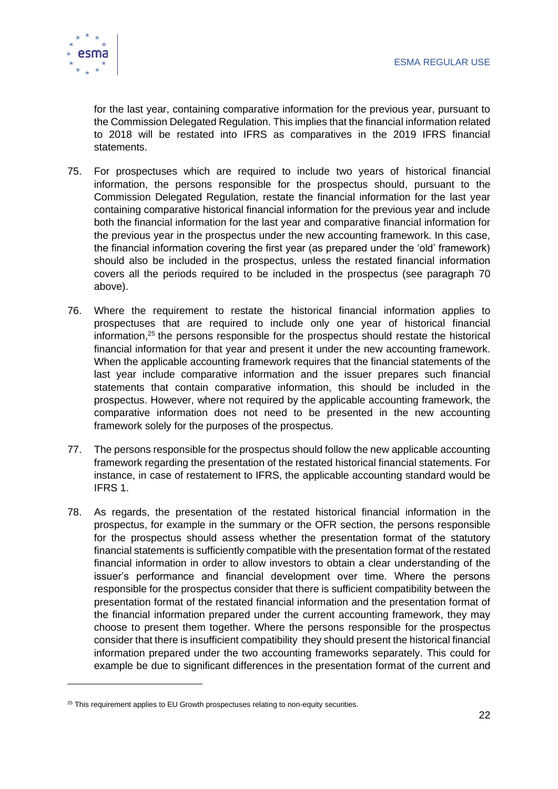

for the last year, containing comparative information for the previous year, pursuant to the Commission Delegated Regulation. This implies that the financial information related to 2018 will be restated into IFRS as comparatives in the 2019 IFRS financial statements.

- 75. For prospectuses which are required to include two years of historical financial information, the persons responsible for the prospectus should, pursuant to the Commission Delegated Regulation, restate the financial information for the last year containing comparative historical financial information for the previous year and include both the financial information for the last year and comparative financial information for the previous year in the prospectus under the new accounting framework. In this case, the financial information covering the first year (as prepared under the 'old' framework) should also be included in the prospectus, unless the restated financial information covers all the periods required to be included in the prospectus (see paragraph 70 above).
- 76. Where the requirement to restate the historical financial information applies to prospectuses that are required to include only one year of historical financial information, <sup>25</sup> the persons responsible for the prospectus should restate the historical financial information for that year and present it under the new accounting framework. When the applicable accounting framework requires that the financial statements of the last year include comparative information and the issuer prepares such financial statements that contain comparative information, this should be included in the prospectus. However, where not required by the applicable accounting framework, the comparative information does not need to be presented in the new accounting framework solely for the purposes of the prospectus.
- 77. The persons responsible for the prospectus should follow the new applicable accounting framework regarding the presentation of the restated historical financial statements. For instance, in case of restatement to IFRS, the applicable accounting standard would be IFRS 1.
- 78. As regards, the presentation of the restated historical financial information in the prospectus, for example in the summary or the OFR section, the persons responsible for the prospectus should assess whether the presentation format of the statutory financial statements is sufficiently compatible with the presentation format of the restated financial information in order to allow investors to obtain a clear understanding of the issuer's performance and financial development over time. Where the persons responsible for the prospectus consider that there is sufficient compatibility between the presentation format of the restated financial information and the presentation format of the financial information prepared under the current accounting framework, they may choose to present them together. Where the persons responsible for the prospectus consider that there is insufficient compatibility they should present the historical financial information prepared under the two accounting frameworks separately. This could for example be due to significant differences in the presentation format of the current and

 $25$  This requirement applies to EU Growth prospectuses relating to non-equity securities.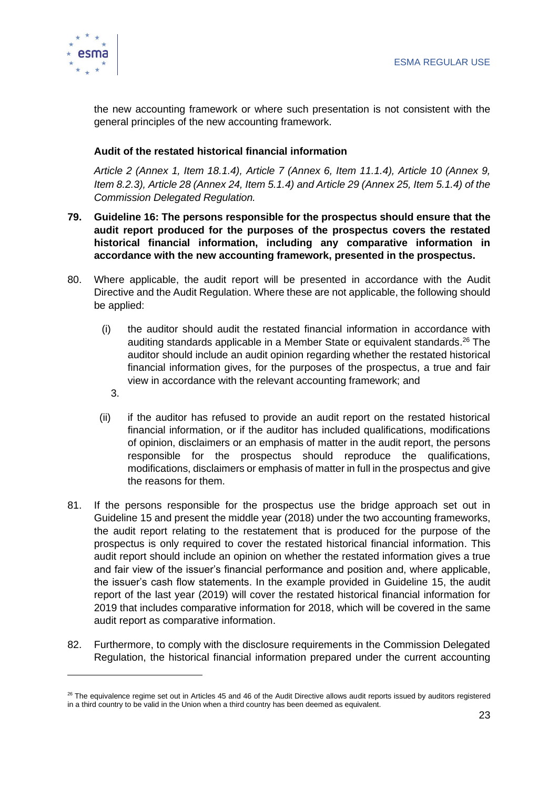

the new accounting framework or where such presentation is not consistent with the general principles of the new accounting framework.

#### **Audit of the restated historical financial information**

*Article 2 (Annex 1, Item 18.1.4), Article 7 (Annex 6, Item 11.1.4), Article 10 (Annex 9, Item 8.2.3), Article 28 (Annex 24, Item 5.1.4) and Article 29 (Annex 25, Item 5.1.4) of the Commission Delegated Regulation.*

- **79. Guideline 16: The persons responsible for the prospectus should ensure that the audit report produced for the purposes of the prospectus covers the restated historical financial information, including any comparative information in accordance with the new accounting framework, presented in the prospectus.**
- 80. Where applicable, the audit report will be presented in accordance with the Audit Directive and the Audit Regulation. Where these are not applicable, the following should be applied:
	- (i) the auditor should audit the restated financial information in accordance with auditing standards applicable in a Member State or equivalent standards. <sup>26</sup> The auditor should include an audit opinion regarding whether the restated historical financial information gives, for the purposes of the prospectus, a true and fair view in accordance with the relevant accounting framework; and
		- 3.
	- (ii) if the auditor has refused to provide an audit report on the restated historical financial information, or if the auditor has included qualifications, modifications of opinion, disclaimers or an emphasis of matter in the audit report, the persons responsible for the prospectus should reproduce the qualifications, modifications, disclaimers or emphasis of matter in full in the prospectus and give the reasons for them.
- 81. If the persons responsible for the prospectus use the bridge approach set out in Guideline 15 and present the middle year (2018) under the two accounting frameworks, the audit report relating to the restatement that is produced for the purpose of the prospectus is only required to cover the restated historical financial information. This audit report should include an opinion on whether the restated information gives a true and fair view of the issuer's financial performance and position and, where applicable, the issuer's cash flow statements. In the example provided in Guideline 15, the audit report of the last year (2019) will cover the restated historical financial information for 2019 that includes comparative information for 2018, which will be covered in the same audit report as comparative information.
- 82. Furthermore, to comply with the disclosure requirements in the Commission Delegated Regulation, the historical financial information prepared under the current accounting

<sup>&</sup>lt;sup>26</sup> The equivalence regime set out in Articles 45 and 46 of the Audit Directive allows audit reports issued by auditors registered in a third country to be valid in the Union when a third country has been deemed as equivalent.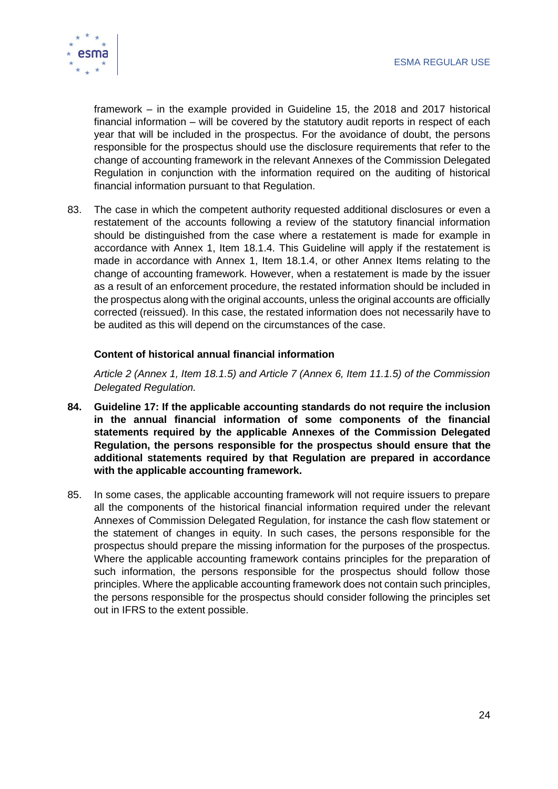

framework – in the example provided in Guideline 15, the 2018 and 2017 historical financial information – will be covered by the statutory audit reports in respect of each year that will be included in the prospectus. For the avoidance of doubt, the persons responsible for the prospectus should use the disclosure requirements that refer to the change of accounting framework in the relevant Annexes of the Commission Delegated Regulation in conjunction with the information required on the auditing of historical financial information pursuant to that Regulation.

83. The case in which the competent authority requested additional disclosures or even a restatement of the accounts following a review of the statutory financial information should be distinguished from the case where a restatement is made for example in accordance with Annex 1, Item 18.1.4. This Guideline will apply if the restatement is made in accordance with Annex 1, Item 18.1.4, or other Annex Items relating to the change of accounting framework. However, when a restatement is made by the issuer as a result of an enforcement procedure, the restated information should be included in the prospectus along with the original accounts, unless the original accounts are officially corrected (reissued). In this case, the restated information does not necessarily have to be audited as this will depend on the circumstances of the case.

#### **Content of historical annual financial information**

*Article 2 (Annex 1, Item 18.1.5) and Article 7 (Annex 6, Item 11.1.5) of the Commission Delegated Regulation.*

- **84. Guideline 17: If the applicable accounting standards do not require the inclusion in the annual financial information of some components of the financial statements required by the applicable Annexes of the Commission Delegated Regulation, the persons responsible for the prospectus should ensure that the additional statements required by that Regulation are prepared in accordance with the applicable accounting framework.**
- 85. In some cases, the applicable accounting framework will not require issuers to prepare all the components of the historical financial information required under the relevant Annexes of Commission Delegated Regulation, for instance the cash flow statement or the statement of changes in equity. In such cases, the persons responsible for the prospectus should prepare the missing information for the purposes of the prospectus. Where the applicable accounting framework contains principles for the preparation of such information, the persons responsible for the prospectus should follow those principles. Where the applicable accounting framework does not contain such principles, the persons responsible for the prospectus should consider following the principles set out in IFRS to the extent possible.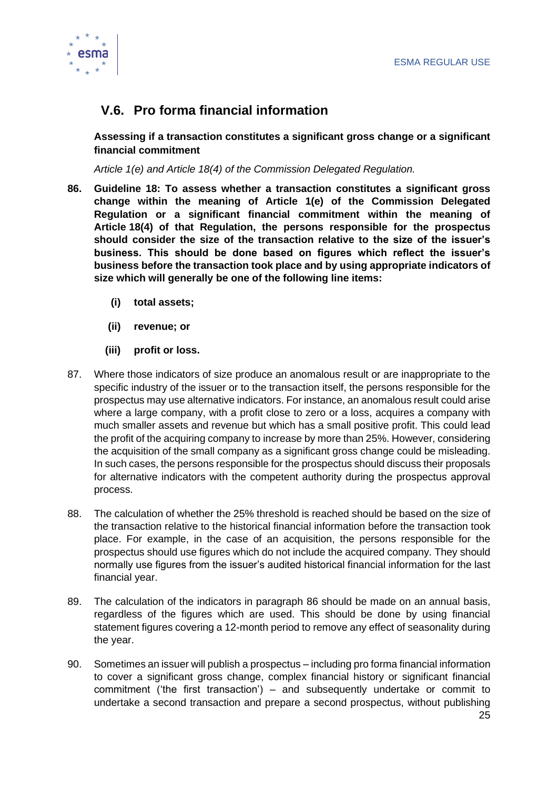

# <span id="page-25-0"></span>**V.6. Pro forma financial information**

**Assessing if a transaction constitutes a significant gross change or a significant financial commitment**

*Article 1(e) and Article 18(4) of the Commission Delegated Regulation.*

- **86. Guideline 18: To assess whether a transaction constitutes a significant gross change within the meaning of Article 1(e) of the Commission Delegated Regulation or a significant financial commitment within the meaning of Article 18(4) of that Regulation, the persons responsible for the prospectus should consider the size of the transaction relative to the size of the issuer's business. This should be done based on figures which reflect the issuer's business before the transaction took place and by using appropriate indicators of size which will generally be one of the following line items:** 
	- **(i) total assets;**
	- **(ii) revenue; or**
	- **(iii) profit or loss.**
- 87. Where those indicators of size produce an anomalous result or are inappropriate to the specific industry of the issuer or to the transaction itself, the persons responsible for the prospectus may use alternative indicators. For instance, an anomalous result could arise where a large company, with a profit close to zero or a loss, acquires a company with much smaller assets and revenue but which has a small positive profit. This could lead the profit of the acquiring company to increase by more than 25%. However, considering the acquisition of the small company as a significant gross change could be misleading. In such cases, the persons responsible for the prospectus should discuss their proposals for alternative indicators with the competent authority during the prospectus approval process.
- 88. The calculation of whether the 25% threshold is reached should be based on the size of the transaction relative to the historical financial information before the transaction took place. For example, in the case of an acquisition, the persons responsible for the prospectus should use figures which do not include the acquired company. They should normally use figures from the issuer's audited historical financial information for the last financial year.
- 89. The calculation of the indicators in paragraph 86 should be made on an annual basis, regardless of the figures which are used. This should be done by using financial statement figures covering a 12-month period to remove any effect of seasonality during the year.
- 90. Sometimes an issuer will publish a prospectus including pro forma financial information to cover a significant gross change, complex financial history or significant financial commitment ('the first transaction') – and subsequently undertake or commit to undertake a second transaction and prepare a second prospectus, without publishing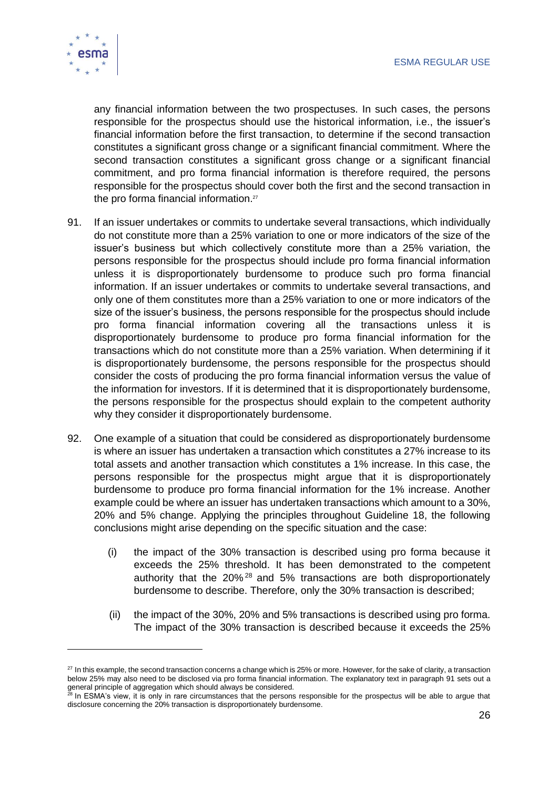

any financial information between the two prospectuses. In such cases, the persons responsible for the prospectus should use the historical information, i.e., the issuer's financial information before the first transaction, to determine if the second transaction constitutes a significant gross change or a significant financial commitment. Where the second transaction constitutes a significant gross change or a significant financial commitment, and pro forma financial information is therefore required, the persons responsible for the prospectus should cover both the first and the second transaction in the pro forma financial information.<sup>27</sup>

- 91. If an issuer undertakes or commits to undertake several transactions, which individually do not constitute more than a 25% variation to one or more indicators of the size of the issuer's business but which collectively constitute more than a 25% variation, the persons responsible for the prospectus should include pro forma financial information unless it is disproportionately burdensome to produce such pro forma financial information. If an issuer undertakes or commits to undertake several transactions, and only one of them constitutes more than a 25% variation to one or more indicators of the size of the issuer's business, the persons responsible for the prospectus should include pro forma financial information covering all the transactions unless it is disproportionately burdensome to produce pro forma financial information for the transactions which do not constitute more than a 25% variation. When determining if it is disproportionately burdensome, the persons responsible for the prospectus should consider the costs of producing the pro forma financial information versus the value of the information for investors. If it is determined that it is disproportionately burdensome, the persons responsible for the prospectus should explain to the competent authority why they consider it disproportionately burdensome.
- 92. One example of a situation that could be considered as disproportionately burdensome is where an issuer has undertaken a transaction which constitutes a 27% increase to its total assets and another transaction which constitutes a 1% increase. In this case, the persons responsible for the prospectus might argue that it is disproportionately burdensome to produce pro forma financial information for the 1% increase. Another example could be where an issuer has undertaken transactions which amount to a 30%, 20% and 5% change. Applying the principles throughout Guideline 18, the following conclusions might arise depending on the specific situation and the case:
	- (i) the impact of the 30% transaction is described using pro forma because it exceeds the 25% threshold. It has been demonstrated to the competent authority that the  $20\%$ <sup>28</sup> and 5% transactions are both disproportionately burdensome to describe. Therefore, only the 30% transaction is described;
	- (ii) the impact of the 30%, 20% and 5% transactions is described using pro forma. The impact of the 30% transaction is described because it exceeds the 25%

<sup>&</sup>lt;sup>27</sup> In this example, the second transaction concerns a change which is 25% or more. However, for the sake of clarity, a transaction below 25% may also need to be disclosed via pro forma financial information. The explanatory text in paragraph 91 sets out a general principle of aggregation which should always be considered.

<sup>&</sup>lt;sup>28</sup> In ESMA's view, it is only in rare circumstances that the persons responsible for the prospectus will be able to argue that disclosure concerning the 20% transaction is disproportionately burdensome.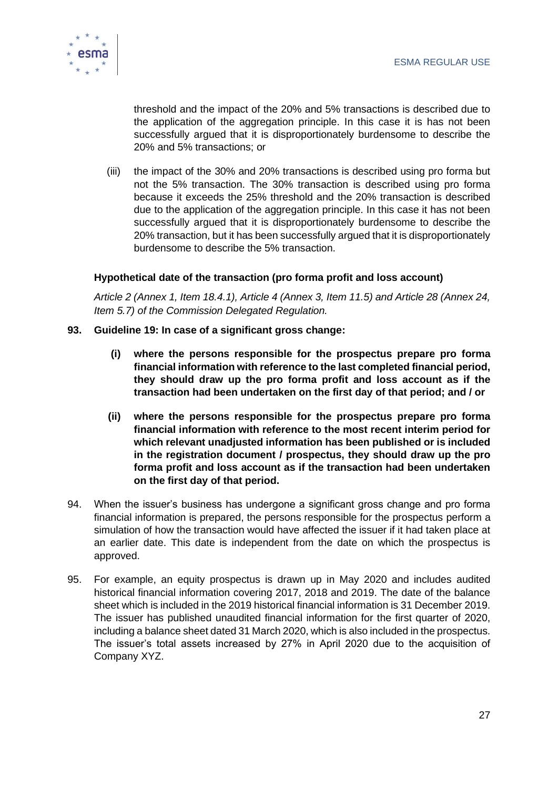

threshold and the impact of the 20% and 5% transactions is described due to the application of the aggregation principle. In this case it is has not been successfully argued that it is disproportionately burdensome to describe the 20% and 5% transactions; or

(iii) the impact of the 30% and 20% transactions is described using pro forma but not the 5% transaction. The 30% transaction is described using pro forma because it exceeds the 25% threshold and the 20% transaction is described due to the application of the aggregation principle. In this case it has not been successfully argued that it is disproportionately burdensome to describe the 20% transaction, but it has been successfully argued that it is disproportionately burdensome to describe the 5% transaction.

#### **Hypothetical date of the transaction (pro forma profit and loss account)**

*Article 2 (Annex 1, Item 18.4.1), Article 4 (Annex 3, Item 11.5) and Article 28 (Annex 24, Item 5.7) of the Commission Delegated Regulation.*

- **93. Guideline 19: In case of a significant gross change:**
	- **(i) where the persons responsible for the prospectus prepare pro forma financial information with reference to the last completed financial period, they should draw up the pro forma profit and loss account as if the transaction had been undertaken on the first day of that period; and / or**
	- **(ii) where the persons responsible for the prospectus prepare pro forma financial information with reference to the most recent interim period for which relevant unadjusted information has been published or is included in the registration document / prospectus, they should draw up the pro forma profit and loss account as if the transaction had been undertaken on the first day of that period.**
- 94. When the issuer's business has undergone a significant gross change and pro forma financial information is prepared, the persons responsible for the prospectus perform a simulation of how the transaction would have affected the issuer if it had taken place at an earlier date. This date is independent from the date on which the prospectus is approved.
- 95. For example, an equity prospectus is drawn up in May 2020 and includes audited historical financial information covering 2017, 2018 and 2019. The date of the balance sheet which is included in the 2019 historical financial information is 31 December 2019. The issuer has published unaudited financial information for the first quarter of 2020, including a balance sheet dated 31 March 2020, which is also included in the prospectus. The issuer's total assets increased by 27% in April 2020 due to the acquisition of Company XYZ.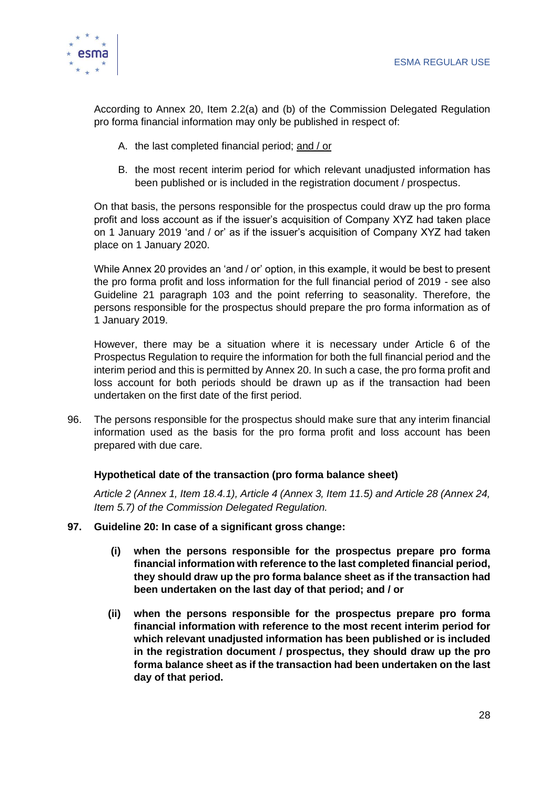

According to Annex 20, Item 2.2(a) and (b) of the Commission Delegated Regulation pro forma financial information may only be published in respect of:

- A. the last completed financial period; and / or
- B. the most recent interim period for which relevant unadjusted information has been published or is included in the registration document / prospectus.

On that basis, the persons responsible for the prospectus could draw up the pro forma profit and loss account as if the issuer's acquisition of Company XYZ had taken place on 1 January 2019 'and / or' as if the issuer's acquisition of Company XYZ had taken place on 1 January 2020.

While Annex 20 provides an 'and / or' option, in this example, it would be best to present the pro forma profit and loss information for the full financial period of 2019 - see also Guideline 21 paragraph 103 and the point referring to seasonality. Therefore, the persons responsible for the prospectus should prepare the pro forma information as of 1 January 2019.

However, there may be a situation where it is necessary under Article 6 of the Prospectus Regulation to require the information for both the full financial period and the interim period and this is permitted by Annex 20. In such a case, the pro forma profit and loss account for both periods should be drawn up as if the transaction had been undertaken on the first date of the first period.

96. The persons responsible for the prospectus should make sure that any interim financial information used as the basis for the pro forma profit and loss account has been prepared with due care.

#### **Hypothetical date of the transaction (pro forma balance sheet)**

*Article 2 (Annex 1, Item 18.4.1), Article 4 (Annex 3, Item 11.5) and Article 28 (Annex 24, Item 5.7) of the Commission Delegated Regulation.*

- **97. Guideline 20: In case of a significant gross change:**
	- **(i) when the persons responsible for the prospectus prepare pro forma financial information with reference to the last completed financial period, they should draw up the pro forma balance sheet as if the transaction had been undertaken on the last day of that period; and / or**
	- **(ii) when the persons responsible for the prospectus prepare pro forma financial information with reference to the most recent interim period for which relevant unadjusted information has been published or is included in the registration document / prospectus, they should draw up the pro forma balance sheet as if the transaction had been undertaken on the last day of that period.**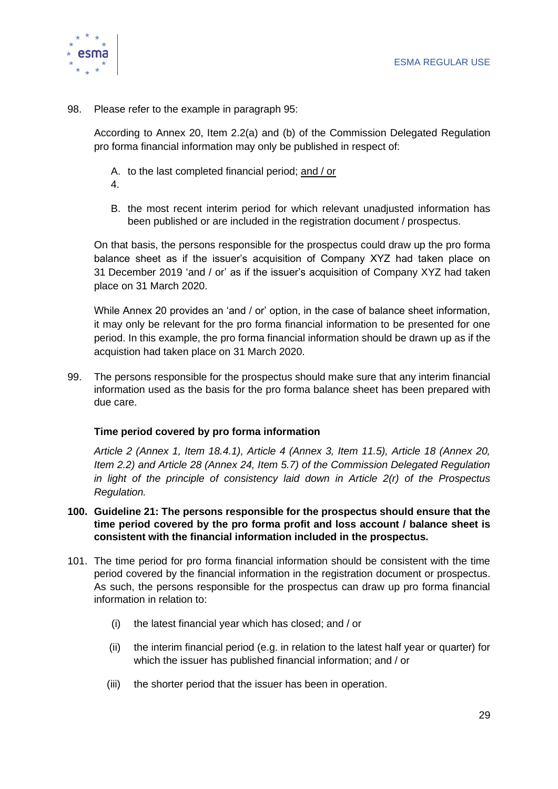

98. Please refer to the example in paragraph 95:

According to Annex 20, Item 2.2(a) and (b) of the Commission Delegated Regulation pro forma financial information may only be published in respect of:

- A. to the last completed financial period; and / or
- 4.
- B. the most recent interim period for which relevant unadjusted information has been published or are included in the registration document / prospectus.

On that basis, the persons responsible for the prospectus could draw up the pro forma balance sheet as if the issuer's acquisition of Company XYZ had taken place on 31 December 2019 'and / or' as if the issuer's acquisition of Company XYZ had taken place on 31 March 2020.

While Annex 20 provides an 'and / or' option, in the case of balance sheet information, it may only be relevant for the pro forma financial information to be presented for one period. In this example, the pro forma financial information should be drawn up as if the acquistion had taken place on 31 March 2020.

99. The persons responsible for the prospectus should make sure that any interim financial information used as the basis for the pro forma balance sheet has been prepared with due care.

#### **Time period covered by pro forma information**

*Article 2 (Annex 1, Item 18.4.1), Article 4 (Annex 3, Item 11.5), Article 18 (Annex 20, Item 2.2) and Article 28 (Annex 24, Item 5.7) of the Commission Delegated Regulation in light of the principle of consistency laid down in Article 2(r) of the Prospectus Regulation.*

- **100. Guideline 21: The persons responsible for the prospectus should ensure that the time period covered by the pro forma profit and loss account / balance sheet is consistent with the financial information included in the prospectus.**
- 101. The time period for pro forma financial information should be consistent with the time period covered by the financial information in the registration document or prospectus. As such, the persons responsible for the prospectus can draw up pro forma financial information in relation to:
	- (i) the latest financial year which has closed; and / or
	- (ii) the interim financial period (e.g. in relation to the latest half year or quarter) for which the issuer has published financial information; and / or
	- (iii) the shorter period that the issuer has been in operation.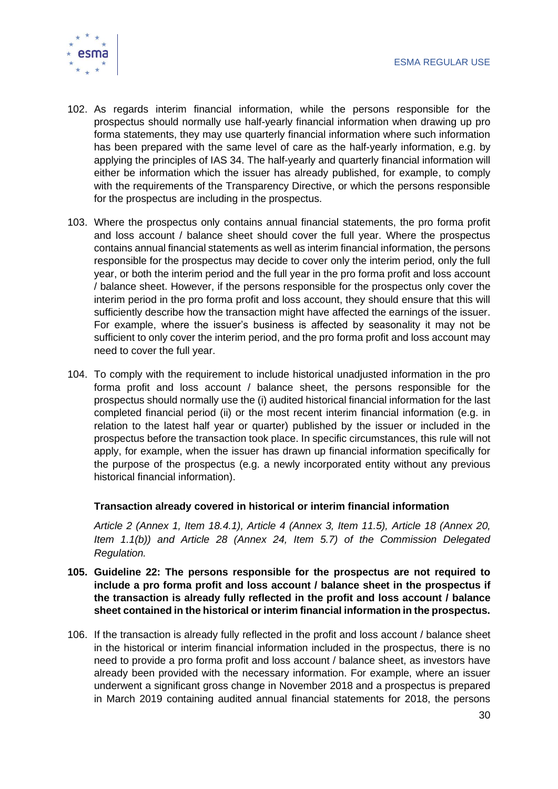

- 102. As regards interim financial information, while the persons responsible for the prospectus should normally use half-yearly financial information when drawing up pro forma statements, they may use quarterly financial information where such information has been prepared with the same level of care as the half-yearly information, e.g. by applying the principles of IAS 34. The half-yearly and quarterly financial information will either be information which the issuer has already published, for example, to comply with the requirements of the Transparency Directive, or which the persons responsible for the prospectus are including in the prospectus.
- 103. Where the prospectus only contains annual financial statements, the pro forma profit and loss account / balance sheet should cover the full year. Where the prospectus contains annual financial statements as well as interim financial information, the persons responsible for the prospectus may decide to cover only the interim period, only the full year, or both the interim period and the full year in the pro forma profit and loss account / balance sheet. However, if the persons responsible for the prospectus only cover the interim period in the pro forma profit and loss account, they should ensure that this will sufficiently describe how the transaction might have affected the earnings of the issuer. For example, where the issuer's business is affected by seasonality it may not be sufficient to only cover the interim period, and the pro forma profit and loss account may need to cover the full year.
- 104. To comply with the requirement to include historical unadjusted information in the pro forma profit and loss account / balance sheet, the persons responsible for the prospectus should normally use the (i) audited historical financial information for the last completed financial period (ii) or the most recent interim financial information (e.g. in relation to the latest half year or quarter) published by the issuer or included in the prospectus before the transaction took place. In specific circumstances, this rule will not apply, for example, when the issuer has drawn up financial information specifically for the purpose of the prospectus (e.g. a newly incorporated entity without any previous historical financial information).

#### **Transaction already covered in historical or interim financial information**

*Article 2 (Annex 1, Item 18.4.1), Article 4 (Annex 3, Item 11.5), Article 18 (Annex 20, Item 1.1(b)) and Article 28 (Annex 24, Item 5.7) of the Commission Delegated Regulation.*

- **105. Guideline 22: The persons responsible for the prospectus are not required to include a pro forma profit and loss account / balance sheet in the prospectus if the transaction is already fully reflected in the profit and loss account / balance sheet contained in the historical or interim financial information in the prospectus.**
- 106. If the transaction is already fully reflected in the profit and loss account / balance sheet in the historical or interim financial information included in the prospectus, there is no need to provide a pro forma profit and loss account / balance sheet, as investors have already been provided with the necessary information. For example, where an issuer underwent a significant gross change in November 2018 and a prospectus is prepared in March 2019 containing audited annual financial statements for 2018, the persons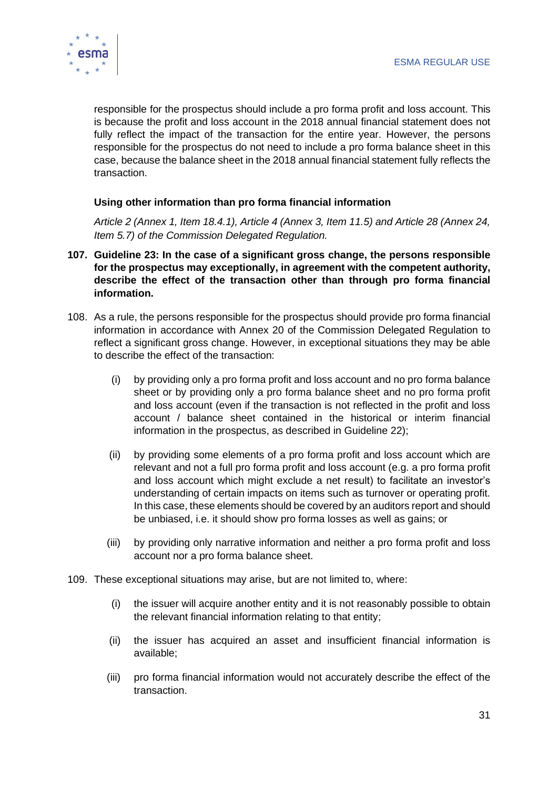

responsible for the prospectus should include a pro forma profit and loss account. This is because the profit and loss account in the 2018 annual financial statement does not fully reflect the impact of the transaction for the entire year. However, the persons responsible for the prospectus do not need to include a pro forma balance sheet in this case, because the balance sheet in the 2018 annual financial statement fully reflects the transaction.

#### **Using other information than pro forma financial information**

*Article 2 (Annex 1, Item 18.4.1), Article 4 (Annex 3, Item 11.5) and Article 28 (Annex 24, Item 5.7) of the Commission Delegated Regulation.*

- **107. Guideline 23: In the case of a significant gross change, the persons responsible for the prospectus may exceptionally, in agreement with the competent authority, describe the effect of the transaction other than through pro forma financial information.**
- 108. As a rule, the persons responsible for the prospectus should provide pro forma financial information in accordance with Annex 20 of the Commission Delegated Regulation to reflect a significant gross change. However, in exceptional situations they may be able to describe the effect of the transaction:
	- (i) by providing only a pro forma profit and loss account and no pro forma balance sheet or by providing only a pro forma balance sheet and no pro forma profit and loss account (even if the transaction is not reflected in the profit and loss account / balance sheet contained in the historical or interim financial information in the prospectus, as described in Guideline 22);
	- (ii) by providing some elements of a pro forma profit and loss account which are relevant and not a full pro forma profit and loss account (e.g. a pro forma profit and loss account which might exclude a net result) to facilitate an investor's understanding of certain impacts on items such as turnover or operating profit. In this case, these elements should be covered by an auditors report and should be unbiased, i.e. it should show pro forma losses as well as gains; or
	- (iii) by providing only narrative information and neither a pro forma profit and loss account nor a pro forma balance sheet.
- 109. These exceptional situations may arise, but are not limited to, where:
	- (i) the issuer will acquire another entity and it is not reasonably possible to obtain the relevant financial information relating to that entity;
	- (ii) the issuer has acquired an asset and insufficient financial information is available;
	- (iii) pro forma financial information would not accurately describe the effect of the transaction.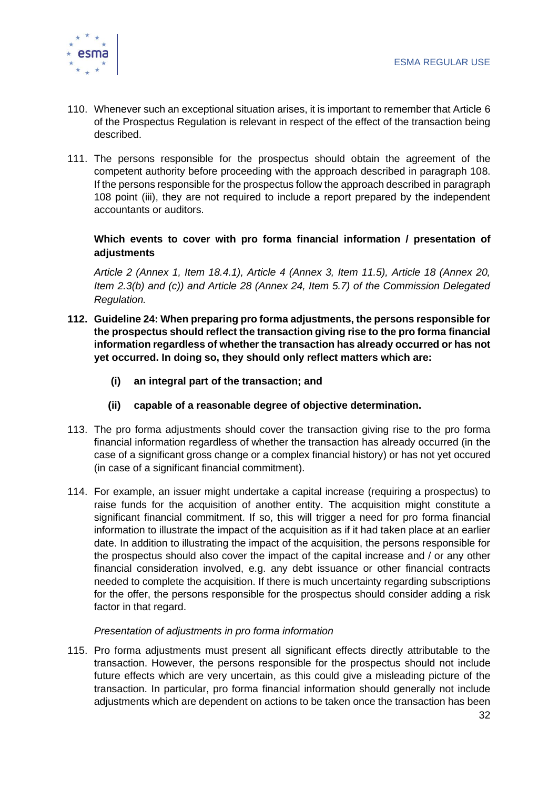

- 110. Whenever such an exceptional situation arises, it is important to remember that Article 6 of the Prospectus Regulation is relevant in respect of the effect of the transaction being described.
- 111. The persons responsible for the prospectus should obtain the agreement of the competent authority before proceeding with the approach described in paragraph 108. If the persons responsible for the prospectus follow the approach described in paragraph 108 point (iii), they are not required to include a report prepared by the independent accountants or auditors.

#### **Which events to cover with pro forma financial information / presentation of adjustments**

*Article 2 (Annex 1, Item 18.4.1), Article 4 (Annex 3, Item 11.5), Article 18 (Annex 20, Item 2.3(b) and (c)) and Article 28 (Annex 24, Item 5.7) of the Commission Delegated Regulation.*

- **112. Guideline 24: When preparing pro forma adjustments, the persons responsible for the prospectus should reflect the transaction giving rise to the pro forma financial information regardless of whether the transaction has already occurred or has not yet occurred. In doing so, they should only reflect matters which are:**
	- **(i) an integral part of the transaction; and**
	- **(ii) capable of a reasonable degree of objective determination.**
- 113. The pro forma adjustments should cover the transaction giving rise to the pro forma financial information regardless of whether the transaction has already occurred (in the case of a significant gross change or a complex financial history) or has not yet occured (in case of a significant financial commitment).
- 114. For example, an issuer might undertake a capital increase (requiring a prospectus) to raise funds for the acquisition of another entity. The acquisition might constitute a significant financial commitment. If so, this will trigger a need for pro forma financial information to illustrate the impact of the acquisition as if it had taken place at an earlier date. In addition to illustrating the impact of the acquisition, the persons responsible for the prospectus should also cover the impact of the capital increase and / or any other financial consideration involved, e.g. any debt issuance or other financial contracts needed to complete the acquisition. If there is much uncertainty regarding subscriptions for the offer, the persons responsible for the prospectus should consider adding a risk factor in that regard.

#### *Presentation of adjustments in pro forma information*

115. Pro forma adjustments must present all significant effects directly attributable to the transaction. However, the persons responsible for the prospectus should not include future effects which are very uncertain, as this could give a misleading picture of the transaction. In particular, pro forma financial information should generally not include adjustments which are dependent on actions to be taken once the transaction has been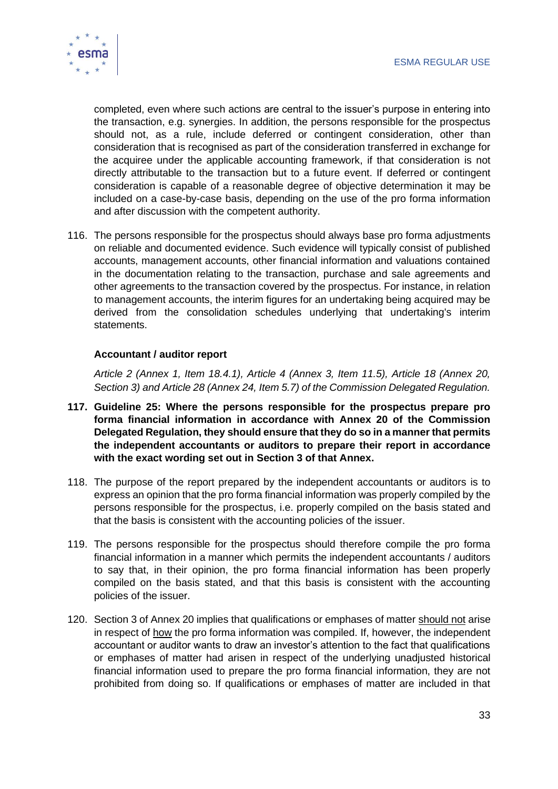

completed, even where such actions are central to the issuer's purpose in entering into the transaction, e.g. synergies. In addition, the persons responsible for the prospectus should not, as a rule, include deferred or contingent consideration, other than consideration that is recognised as part of the consideration transferred in exchange for the acquiree under the applicable accounting framework, if that consideration is not directly attributable to the transaction but to a future event. If deferred or contingent consideration is capable of a reasonable degree of objective determination it may be included on a case-by-case basis, depending on the use of the pro forma information and after discussion with the competent authority.

116. The persons responsible for the prospectus should always base pro forma adjustments on reliable and documented evidence. Such evidence will typically consist of published accounts, management accounts, other financial information and valuations contained in the documentation relating to the transaction, purchase and sale agreements and other agreements to the transaction covered by the prospectus. For instance, in relation to management accounts, the interim figures for an undertaking being acquired may be derived from the consolidation schedules underlying that undertaking's interim statements.

#### **Accountant / auditor report**

*Article 2 (Annex 1, Item 18.4.1), Article 4 (Annex 3, Item 11.5), Article 18 (Annex 20, Section 3) and Article 28 (Annex 24, Item 5.7) of the Commission Delegated Regulation.*

- **117. Guideline 25: Where the persons responsible for the prospectus prepare pro forma financial information in accordance with Annex 20 of the Commission Delegated Regulation, they should ensure that they do so in a manner that permits the independent accountants or auditors to prepare their report in accordance with the exact wording set out in Section 3 of that Annex.**
- 118. The purpose of the report prepared by the independent accountants or auditors is to express an opinion that the pro forma financial information was properly compiled by the persons responsible for the prospectus, i.e. properly compiled on the basis stated and that the basis is consistent with the accounting policies of the issuer.
- 119. The persons responsible for the prospectus should therefore compile the pro forma financial information in a manner which permits the independent accountants / auditors to say that, in their opinion, the pro forma financial information has been properly compiled on the basis stated, and that this basis is consistent with the accounting policies of the issuer.
- 120. Section 3 of Annex 20 implies that qualifications or emphases of matter should not arise in respect of how the pro forma information was compiled. If, however, the independent accountant or auditor wants to draw an investor's attention to the fact that qualifications or emphases of matter had arisen in respect of the underlying unadjusted historical financial information used to prepare the pro forma financial information, they are not prohibited from doing so. If qualifications or emphases of matter are included in that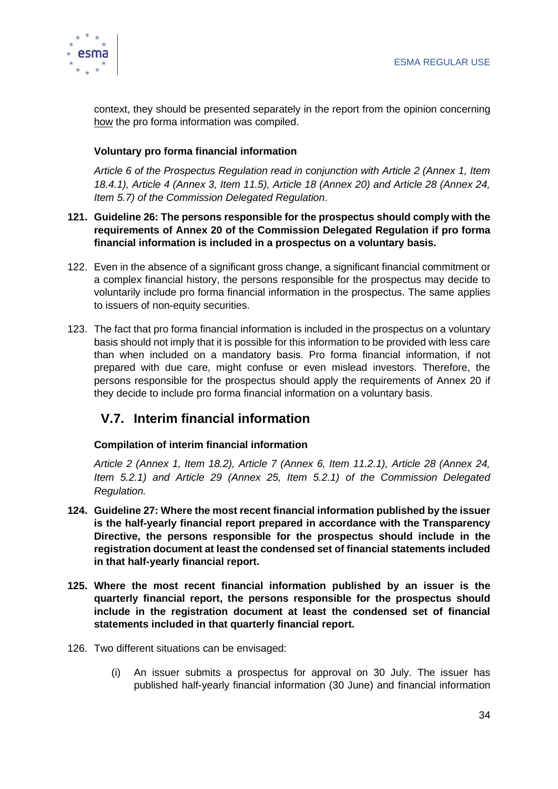

context, they should be presented separately in the report from the opinion concerning how the pro forma information was compiled.

#### **Voluntary pro forma financial information**

*Article 6 of the Prospectus Regulation read in conjunction with Article 2 (Annex 1, Item 18.4.1), Article 4 (Annex 3, Item 11.5), Article 18 (Annex 20) and Article 28 (Annex 24, Item 5.7) of the Commission Delegated Regulation.*

- **121. Guideline 26: The persons responsible for the prospectus should comply with the requirements of Annex 20 of the Commission Delegated Regulation if pro forma financial information is included in a prospectus on a voluntary basis.**
- 122. Even in the absence of a significant gross change, a significant financial commitment or a complex financial history, the persons responsible for the prospectus may decide to voluntarily include pro forma financial information in the prospectus. The same applies to issuers of non-equity securities.
- 123. The fact that pro forma financial information is included in the prospectus on a voluntary basis should not imply that it is possible for this information to be provided with less care than when included on a mandatory basis. Pro forma financial information, if not prepared with due care, might confuse or even mislead investors. Therefore, the persons responsible for the prospectus should apply the requirements of Annex 20 if they decide to include pro forma financial information on a voluntary basis.

# <span id="page-34-0"></span>**V.7. Interim financial information**

#### **Compilation of interim financial information**

*Article 2 (Annex 1, Item 18.2), Article 7 (Annex 6, Item 11.2.1), Article 28 (Annex 24, Item 5.2.1) and Article 29 (Annex 25, Item 5.2.1) of the Commission Delegated Regulation.*

- **124. Guideline 27: Where the most recent financial information published by the issuer is the half-yearly financial report prepared in accordance with the Transparency Directive, the persons responsible for the prospectus should include in the registration document at least the condensed set of financial statements included in that half-yearly financial report.**
- **125. Where the most recent financial information published by an issuer is the quarterly financial report, the persons responsible for the prospectus should include in the registration document at least the condensed set of financial statements included in that quarterly financial report.**
- 126. Two different situations can be envisaged:
	- (i) An issuer submits a prospectus for approval on 30 July. The issuer has published half-yearly financial information (30 June) and financial information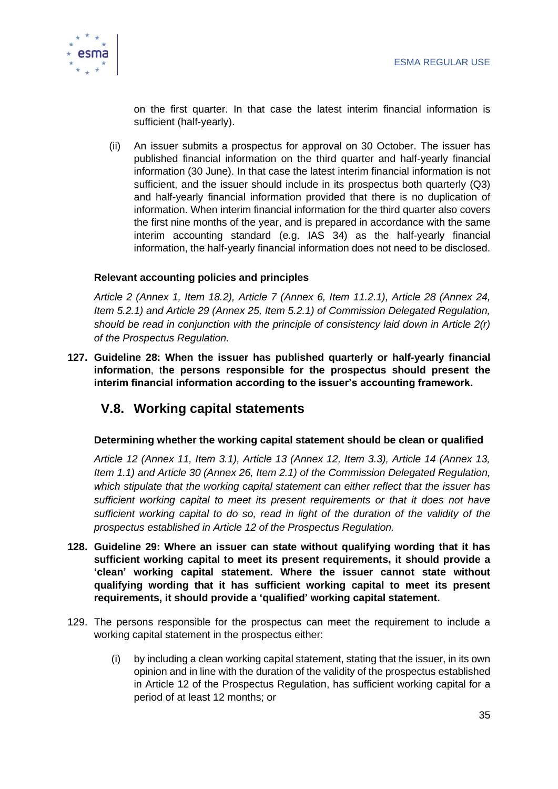

on the first quarter. In that case the latest interim financial information is sufficient (half-yearly).

(ii) An issuer submits a prospectus for approval on 30 October. The issuer has published financial information on the third quarter and half-yearly financial information (30 June). In that case the latest interim financial information is not sufficient, and the issuer should include in its prospectus both quarterly (Q3) and half-yearly financial information provided that there is no duplication of information. When interim financial information for the third quarter also covers the first nine months of the year, and is prepared in accordance with the same interim accounting standard (e.g. IAS 34) as the half-yearly financial information, the half-yearly financial information does not need to be disclosed.

#### **Relevant accounting policies and principles**

*Article 2 (Annex 1, Item 18.2), Article 7 (Annex 6, Item 11.2.1), Article 28 (Annex 24, Item 5.2.1) and Article 29 (Annex 25, Item 5.2.1) of Commission Delegated Regulation, should be read in conjunction with the principle of consistency laid down in Article 2(r) of the Prospectus Regulation.*

**127. Guideline 28: When the issuer has published quarterly or half-yearly financial information**, t**he persons responsible for the prospectus should present the interim financial information according to the issuer's accounting framework.**

### <span id="page-35-0"></span>**V.8. Working capital statements**

#### **Determining whether the working capital statement should be clean or qualified**

*Article 12 (Annex 11, Item 3.1), Article 13 (Annex 12, Item 3.3), Article 14 (Annex 13, Item 1.1) and Article 30 (Annex 26, Item 2.1) of the Commission Delegated Regulation, which stipulate that the working capital statement can either reflect that the issuer has sufficient working capital to meet its present requirements or that it does not have sufficient working capital to do so, read in light of the duration of the validity of the prospectus established in Article 12 of the Prospectus Regulation.*

- **128. Guideline 29: Where an issuer can state without qualifying wording that it has sufficient working capital to meet its present requirements, it should provide a 'clean' working capital statement. Where the issuer cannot state without qualifying wording that it has sufficient working capital to meet its present requirements, it should provide a 'qualified' working capital statement.**
- 129. The persons responsible for the prospectus can meet the requirement to include a working capital statement in the prospectus either:
	- (i) by including a clean working capital statement, stating that the issuer, in its own opinion and in line with the duration of the validity of the prospectus established in Article 12 of the Prospectus Regulation, has sufficient working capital for a period of at least 12 months; or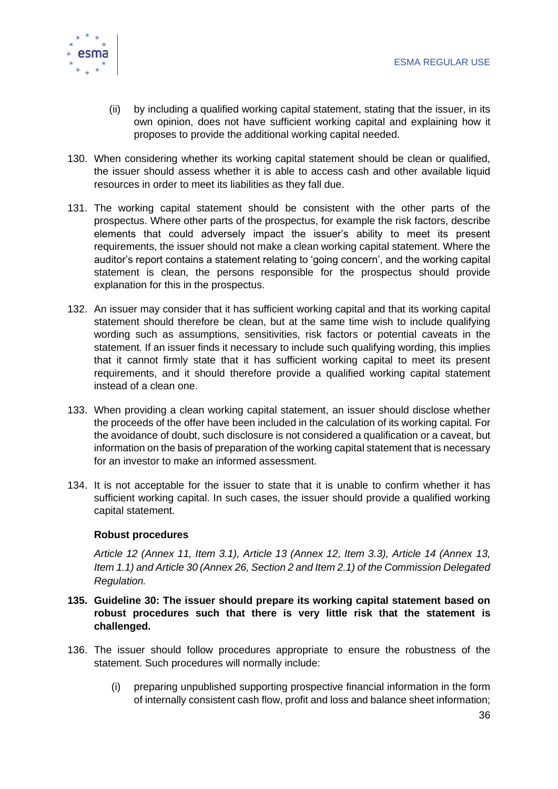

- (ii) by including a qualified working capital statement, stating that the issuer, in its own opinion, does not have sufficient working capital and explaining how it proposes to provide the additional working capital needed.
- 130. When considering whether its working capital statement should be clean or qualified, the issuer should assess whether it is able to access cash and other available liquid resources in order to meet its liabilities as they fall due.
- 131. The working capital statement should be consistent with the other parts of the prospectus. Where other parts of the prospectus, for example the risk factors, describe elements that could adversely impact the issuer's ability to meet its present requirements, the issuer should not make a clean working capital statement. Where the auditor's report contains a statement relating to 'going concern', and the working capital statement is clean, the persons responsible for the prospectus should provide explanation for this in the prospectus.
- 132. An issuer may consider that it has sufficient working capital and that its working capital statement should therefore be clean, but at the same time wish to include qualifying wording such as assumptions, sensitivities, risk factors or potential caveats in the statement. If an issuer finds it necessary to include such qualifying wording, this implies that it cannot firmly state that it has sufficient working capital to meet its present requirements, and it should therefore provide a qualified working capital statement instead of a clean one.
- 133. When providing a clean working capital statement, an issuer should disclose whether the proceeds of the offer have been included in the calculation of its working capital. For the avoidance of doubt, such disclosure is not considered a qualification or a caveat, but information on the basis of preparation of the working capital statement that is necessary for an investor to make an informed assessment.
- 134. It is not acceptable for the issuer to state that it is unable to confirm whether it has sufficient working capital. In such cases, the issuer should provide a qualified working capital statement.

#### **Robust procedures**

*Article 12 (Annex 11, Item 3.1), Article 13 (Annex 12, Item 3.3), Article 14 (Annex 13, Item 1.1) and Article 30 (Annex 26, Section 2 and Item 2.1) of the Commission Delegated Regulation.*

- **135. Guideline 30: The issuer should prepare its working capital statement based on robust procedures such that there is very little risk that the statement is challenged.**
- 136. The issuer should follow procedures appropriate to ensure the robustness of the statement. Such procedures will normally include:
	- (i) preparing unpublished supporting prospective financial information in the form of internally consistent cash flow, profit and loss and balance sheet information;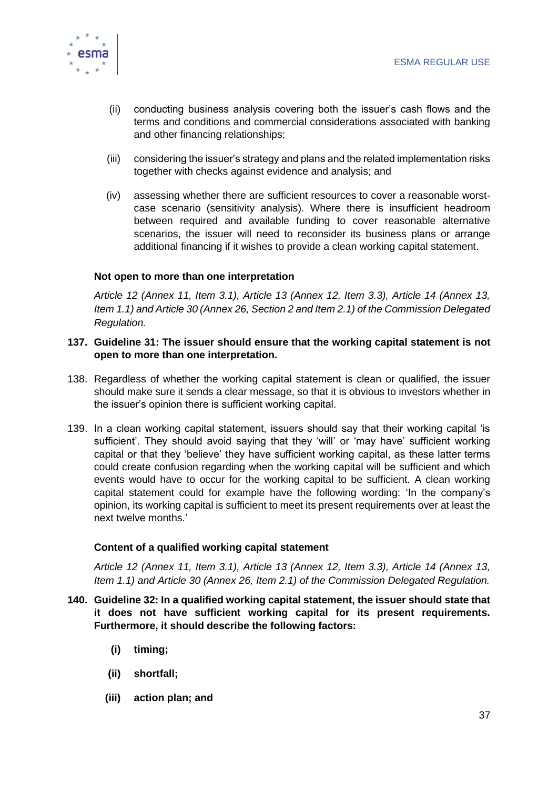

- (ii) conducting business analysis covering both the issuer's cash flows and the terms and conditions and commercial considerations associated with banking and other financing relationships;
- (iii) considering the issuer's strategy and plans and the related implementation risks together with checks against evidence and analysis; and
- (iv) assessing whether there are sufficient resources to cover a reasonable worstcase scenario (sensitivity analysis). Where there is insufficient headroom between required and available funding to cover reasonable alternative scenarios, the issuer will need to reconsider its business plans or arrange additional financing if it wishes to provide a clean working capital statement.

#### **Not open to more than one interpretation**

*Article 12 (Annex 11, Item 3.1), Article 13 (Annex 12, Item 3.3), Article 14 (Annex 13, Item 1.1) and Article 30 (Annex 26, Section 2 and Item 2.1) of the Commission Delegated Regulation.*

#### **137. Guideline 31: The issuer should ensure that the working capital statement is not open to more than one interpretation.**

- 138. Regardless of whether the working capital statement is clean or qualified, the issuer should make sure it sends a clear message, so that it is obvious to investors whether in the issuer's opinion there is sufficient working capital.
- 139. In a clean working capital statement, issuers should say that their working capital 'is sufficient'. They should avoid saying that they 'will' or 'may have' sufficient working capital or that they 'believe' they have sufficient working capital, as these latter terms could create confusion regarding when the working capital will be sufficient and which events would have to occur for the working capital to be sufficient. A clean working capital statement could for example have the following wording: 'In the company's opinion, its working capital is sufficient to meet its present requirements over at least the next twelve months.'

#### **Content of a qualified working capital statement**

*Article 12 (Annex 11, Item 3.1), Article 13 (Annex 12, Item 3.3), Article 14 (Annex 13, Item 1.1) and Article 30 (Annex 26, Item 2.1) of the Commission Delegated Regulation.*

- **140. Guideline 32: In a qualified working capital statement, the issuer should state that it does not have sufficient working capital for its present requirements. Furthermore, it should describe the following factors:**
	- **(i) timing;**
	- **(ii) shortfall;**
	- **(iii) action plan; and**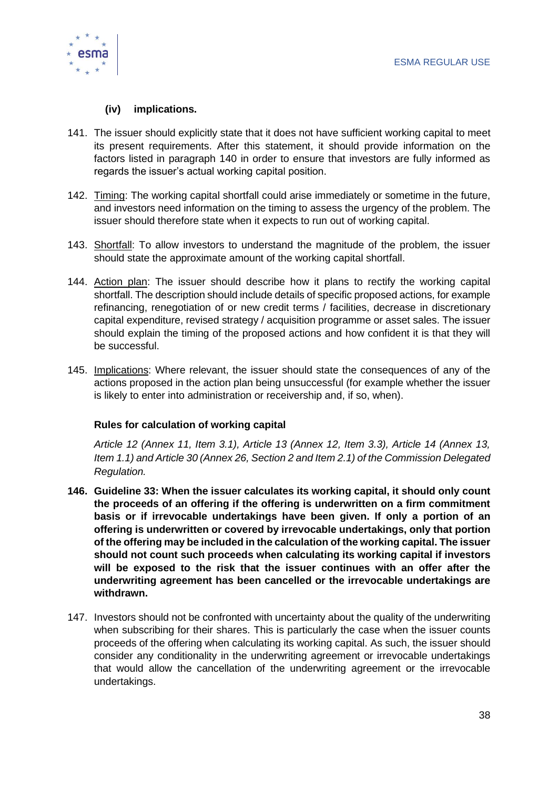

#### **(iv) implications.**

- 141. The issuer should explicitly state that it does not have sufficient working capital to meet its present requirements. After this statement, it should provide information on the factors listed in paragraph 140 in order to ensure that investors are fully informed as regards the issuer's actual working capital position.
- 142. Timing: The working capital shortfall could arise immediately or sometime in the future, and investors need information on the timing to assess the urgency of the problem. The issuer should therefore state when it expects to run out of working capital.
- 143. Shortfall: To allow investors to understand the magnitude of the problem, the issuer should state the approximate amount of the working capital shortfall.
- 144. Action plan: The issuer should describe how it plans to rectify the working capital shortfall. The description should include details of specific proposed actions, for example refinancing, renegotiation of or new credit terms / facilities, decrease in discretionary capital expenditure, revised strategy / acquisition programme or asset sales. The issuer should explain the timing of the proposed actions and how confident it is that they will be successful.
- 145. Implications: Where relevant, the issuer should state the consequences of any of the actions proposed in the action plan being unsuccessful (for example whether the issuer is likely to enter into administration or receivership and, if so, when).

#### **Rules for calculation of working capital**

*Article 12 (Annex 11, Item 3.1), Article 13 (Annex 12, Item 3.3), Article 14 (Annex 13, Item 1.1) and Article 30 (Annex 26, Section 2 and Item 2.1) of the Commission Delegated Regulation.*

- **146. Guideline 33: When the issuer calculates its working capital, it should only count the proceeds of an offering if the offering is underwritten on a firm commitment basis or if irrevocable undertakings have been given. If only a portion of an offering is underwritten or covered by irrevocable undertakings, only that portion of the offering may be included in the calculation of the working capital. The issuer should not count such proceeds when calculating its working capital if investors will be exposed to the risk that the issuer continues with an offer after the underwriting agreement has been cancelled or the irrevocable undertakings are withdrawn.**
- 147. Investors should not be confronted with uncertainty about the quality of the underwriting when subscribing for their shares. This is particularly the case when the issuer counts proceeds of the offering when calculating its working capital. As such, the issuer should consider any conditionality in the underwriting agreement or irrevocable undertakings that would allow the cancellation of the underwriting agreement or the irrevocable undertakings.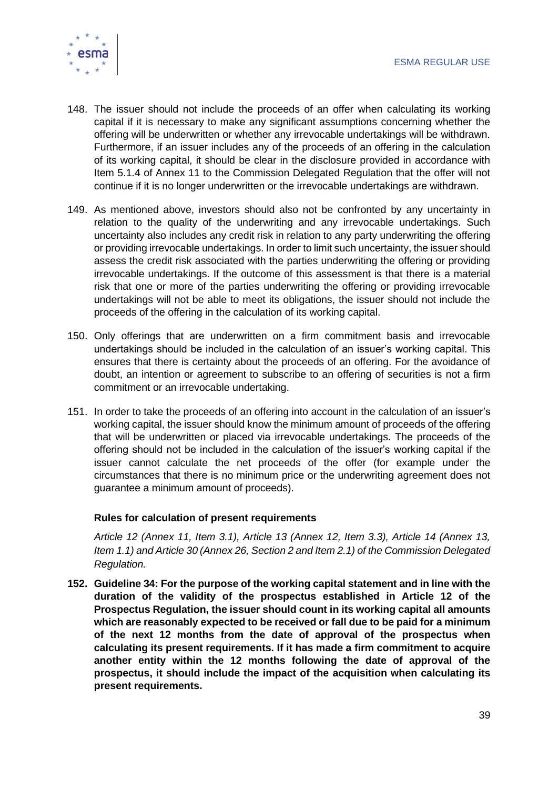

- 148. The issuer should not include the proceeds of an offer when calculating its working capital if it is necessary to make any significant assumptions concerning whether the offering will be underwritten or whether any irrevocable undertakings will be withdrawn. Furthermore, if an issuer includes any of the proceeds of an offering in the calculation of its working capital, it should be clear in the disclosure provided in accordance with Item 5.1.4 of Annex 11 to the Commission Delegated Regulation that the offer will not continue if it is no longer underwritten or the irrevocable undertakings are withdrawn.
- 149. As mentioned above, investors should also not be confronted by any uncertainty in relation to the quality of the underwriting and any irrevocable undertakings. Such uncertainty also includes any credit risk in relation to any party underwriting the offering or providing irrevocable undertakings. In order to limit such uncertainty, the issuer should assess the credit risk associated with the parties underwriting the offering or providing irrevocable undertakings. If the outcome of this assessment is that there is a material risk that one or more of the parties underwriting the offering or providing irrevocable undertakings will not be able to meet its obligations, the issuer should not include the proceeds of the offering in the calculation of its working capital.
- 150. Only offerings that are underwritten on a firm commitment basis and irrevocable undertakings should be included in the calculation of an issuer's working capital. This ensures that there is certainty about the proceeds of an offering. For the avoidance of doubt, an intention or agreement to subscribe to an offering of securities is not a firm commitment or an irrevocable undertaking.
- 151. In order to take the proceeds of an offering into account in the calculation of an issuer's working capital, the issuer should know the minimum amount of proceeds of the offering that will be underwritten or placed via irrevocable undertakings. The proceeds of the offering should not be included in the calculation of the issuer's working capital if the issuer cannot calculate the net proceeds of the offer (for example under the circumstances that there is no minimum price or the underwriting agreement does not guarantee a minimum amount of proceeds).

#### **Rules for calculation of present requirements**

*Article 12 (Annex 11, Item 3.1), Article 13 (Annex 12, Item 3.3), Article 14 (Annex 13, Item 1.1) and Article 30 (Annex 26, Section 2 and Item 2.1) of the Commission Delegated Regulation.*

**152. Guideline 34: For the purpose of the working capital statement and in line with the duration of the validity of the prospectus established in Article 12 of the Prospectus Regulation, the issuer should count in its working capital all amounts which are reasonably expected to be received or fall due to be paid for a minimum of the next 12 months from the date of approval of the prospectus when calculating its present requirements. If it has made a firm commitment to acquire another entity within the 12 months following the date of approval of the prospectus, it should include the impact of the acquisition when calculating its present requirements.**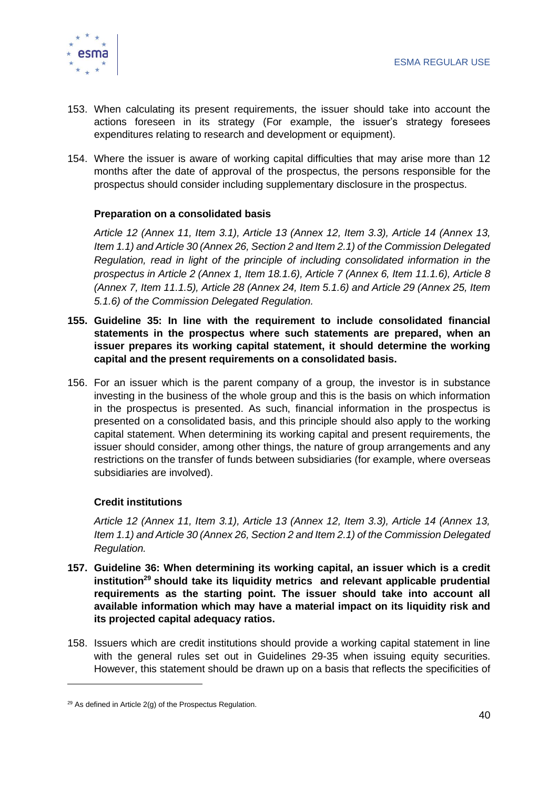

- 153. When calculating its present requirements, the issuer should take into account the actions foreseen in its strategy (For example, the issuer's strategy foresees expenditures relating to research and development or equipment).
- 154. Where the issuer is aware of working capital difficulties that may arise more than 12 months after the date of approval of the prospectus, the persons responsible for the prospectus should consider including supplementary disclosure in the prospectus.

#### **Preparation on a consolidated basis**

*Article 12 (Annex 11, Item 3.1), Article 13 (Annex 12, Item 3.3), Article 14 (Annex 13, Item 1.1) and Article 30 (Annex 26, Section 2 and Item 2.1) of the Commission Delegated Regulation, read in light of the principle of including consolidated information in the prospectus in Article 2 (Annex 1, Item 18.1.6), Article 7 (Annex 6, Item 11.1.6), Article 8 (Annex 7, Item 11.1.5), Article 28 (Annex 24, Item 5.1.6) and Article 29 (Annex 25, Item 5.1.6) of the Commission Delegated Regulation.*

- **155. Guideline 35: In line with the requirement to include consolidated financial statements in the prospectus where such statements are prepared, when an issuer prepares its working capital statement, it should determine the working capital and the present requirements on a consolidated basis.**
- 156. For an issuer which is the parent company of a group, the investor is in substance investing in the business of the whole group and this is the basis on which information in the prospectus is presented. As such, financial information in the prospectus is presented on a consolidated basis, and this principle should also apply to the working capital statement. When determining its working capital and present requirements, the issuer should consider, among other things, the nature of group arrangements and any restrictions on the transfer of funds between subsidiaries (for example, where overseas subsidiaries are involved).

#### **Credit institutions**

*Article 12 (Annex 11, Item 3.1), Article 13 (Annex 12, Item 3.3), Article 14 (Annex 13, Item 1.1) and Article 30 (Annex 26, Section 2 and Item 2.1) of the Commission Delegated Regulation.*

- **157. Guideline 36: When determining its working capital, an issuer which is a credit institution<sup>29</sup> should take its liquidity metrics and relevant applicable prudential requirements as the starting point. The issuer should take into account all available information which may have a material impact on its liquidity risk and its projected capital adequacy ratios.**
- 158. Issuers which are credit institutions should provide a working capital statement in line with the general rules set out in Guidelines 29-35 when issuing equity securities. However, this statement should be drawn up on a basis that reflects the specificities of

 $29$  As defined in Article 2(g) of the Prospectus Regulation.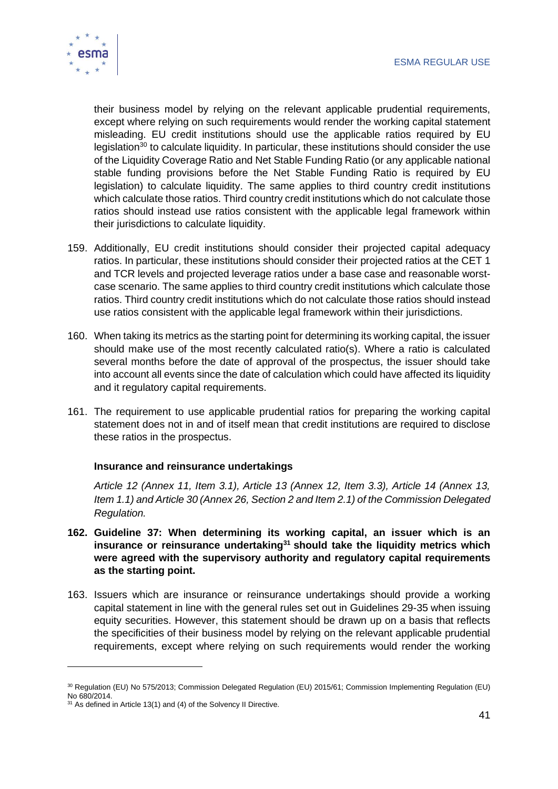

their business model by relying on the relevant applicable prudential requirements, except where relying on such requirements would render the working capital statement misleading. EU credit institutions should use the applicable ratios required by EU legislation<sup>30</sup> to calculate liquidity. In particular, these institutions should consider the use of the Liquidity Coverage Ratio and Net Stable Funding Ratio (or any applicable national stable funding provisions before the Net Stable Funding Ratio is required by EU legislation) to calculate liquidity. The same applies to third country credit institutions which calculate those ratios. Third country credit institutions which do not calculate those ratios should instead use ratios consistent with the applicable legal framework within their jurisdictions to calculate liquidity.

- 159. Additionally, EU credit institutions should consider their projected capital adequacy ratios. In particular, these institutions should consider their projected ratios at the CET 1 and TCR levels and projected leverage ratios under a base case and reasonable worstcase scenario. The same applies to third country credit institutions which calculate those ratios. Third country credit institutions which do not calculate those ratios should instead use ratios consistent with the applicable legal framework within their jurisdictions.
- 160. When taking its metrics as the starting point for determining its working capital, the issuer should make use of the most recently calculated ratio(s). Where a ratio is calculated several months before the date of approval of the prospectus, the issuer should take into account all events since the date of calculation which could have affected its liquidity and it regulatory capital requirements.
- 161. The requirement to use applicable prudential ratios for preparing the working capital statement does not in and of itself mean that credit institutions are required to disclose these ratios in the prospectus.

#### **Insurance and reinsurance undertakings**

*Article 12 (Annex 11, Item 3.1), Article 13 (Annex 12, Item 3.3), Article 14 (Annex 13, Item 1.1) and Article 30 (Annex 26, Section 2 and Item 2.1) of the Commission Delegated Regulation.*

- **162. Guideline 37: When determining its working capital, an issuer which is an insurance or reinsurance undertaking<sup>31</sup> should take the liquidity metrics which were agreed with the supervisory authority and regulatory capital requirements as the starting point.**
- 163. Issuers which are insurance or reinsurance undertakings should provide a working capital statement in line with the general rules set out in Guidelines 29-35 when issuing equity securities. However, this statement should be drawn up on a basis that reflects the specificities of their business model by relying on the relevant applicable prudential requirements, except where relying on such requirements would render the working

<sup>&</sup>lt;sup>30</sup> Regulation (EU) No 575/2013; Commission Delegated Regulation (EU) 2015/61; Commission Implementing Regulation (EU) No 680/2014.

 $31$  As defined in Article 13(1) and (4) of the Solvency II Directive.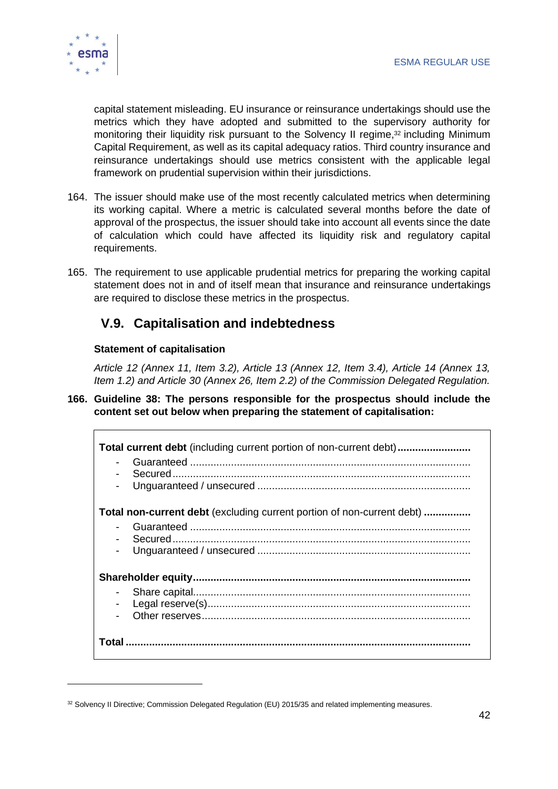

capital statement misleading. EU insurance or reinsurance undertakings should use the metrics which they have adopted and submitted to the supervisory authority for monitoring their liquidity risk pursuant to the Solvency II regime, <sup>32</sup> including Minimum Capital Requirement, as well as its capital adequacy ratios. Third country insurance and reinsurance undertakings should use metrics consistent with the applicable legal framework on prudential supervision within their jurisdictions.

- 164. The issuer should make use of the most recently calculated metrics when determining its working capital. Where a metric is calculated several months before the date of approval of the prospectus, the issuer should take into account all events since the date of calculation which could have affected its liquidity risk and regulatory capital requirements.
- 165. The requirement to use applicable prudential metrics for preparing the working capital statement does not in and of itself mean that insurance and reinsurance undertakings are required to disclose these metrics in the prospectus.

# <span id="page-42-0"></span>**V.9. Capitalisation and indebtedness**

#### **Statement of capitalisation**

*Article 12 (Annex 11, Item 3.2), Article 13 (Annex 12, Item 3.4), Article 14 (Annex 13, Item 1.2) and Article 30 (Annex 26, Item 2.2) of the Commission Delegated Regulation.*

#### **166. Guideline 38: The persons responsible for the prospectus should include the content set out below when preparing the statement of capitalisation:**

| <b>Total current debt</b> (including current portion of non-current debt)     |  |
|-------------------------------------------------------------------------------|--|
| <b>Total non-current debt</b> (excluding current portion of non-current debt) |  |
| $\blacksquare$                                                                |  |
|                                                                               |  |
| $\blacksquare$<br>$\blacksquare$                                              |  |
|                                                                               |  |

<sup>32</sup> Solvency II Directive; Commission [Delegated Regulation \(EU\) 2015/35](http://eur-lex.europa.eu/legal-content/EN/TXT/?uri=OJ:L:2015:012:TOC) and related implementing measures.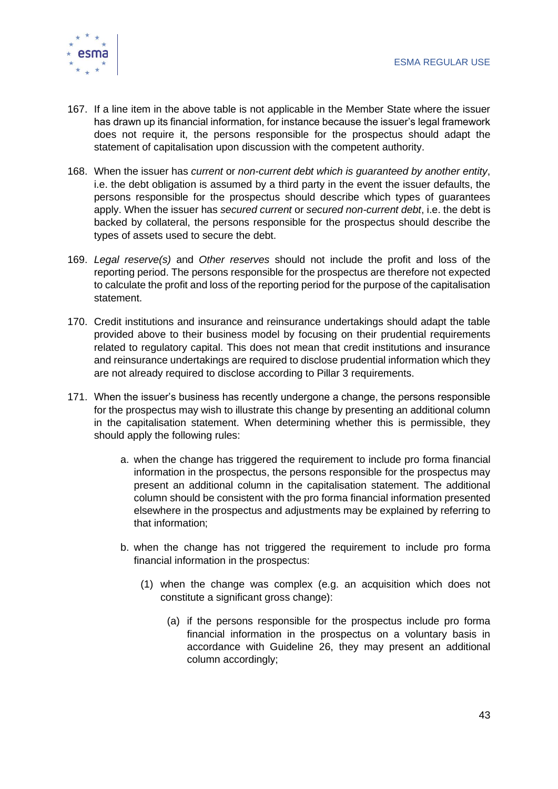

- 167. If a line item in the above table is not applicable in the Member State where the issuer has drawn up its financial information, for instance because the issuer's legal framework does not require it, the persons responsible for the prospectus should adapt the statement of capitalisation upon discussion with the competent authority.
- 168. When the issuer has *current* or *non-current debt which is guaranteed by another entity*, i.e. the debt obligation is assumed by a third party in the event the issuer defaults, the persons responsible for the prospectus should describe which types of guarantees apply. When the issuer has *secured current* or *secured non-current debt*, i.e. the debt is backed by collateral, the persons responsible for the prospectus should describe the types of assets used to secure the debt.
- 169. *Legal reserve(s)* and *Other reserves* should not include the profit and loss of the reporting period. The persons responsible for the prospectus are therefore not expected to calculate the profit and loss of the reporting period for the purpose of the capitalisation statement.
- 170. Credit institutions and insurance and reinsurance undertakings should adapt the table provided above to their business model by focusing on their prudential requirements related to regulatory capital. This does not mean that credit institutions and insurance and reinsurance undertakings are required to disclose prudential information which they are not already required to disclose according to Pillar 3 requirements.
- 171. When the issuer's business has recently undergone a change, the persons responsible for the prospectus may wish to illustrate this change by presenting an additional column in the capitalisation statement. When determining whether this is permissible, they should apply the following rules:
	- a. when the change has triggered the requirement to include pro forma financial information in the prospectus, the persons responsible for the prospectus may present an additional column in the capitalisation statement. The additional column should be consistent with the pro forma financial information presented elsewhere in the prospectus and adjustments may be explained by referring to that information;
	- b. when the change has not triggered the requirement to include pro forma financial information in the prospectus:
		- (1) when the change was complex (e.g. an acquisition which does not constitute a significant gross change):
			- (a) if the persons responsible for the prospectus include pro forma financial information in the prospectus on a voluntary basis in accordance with Guideline 26, they may present an additional column accordingly;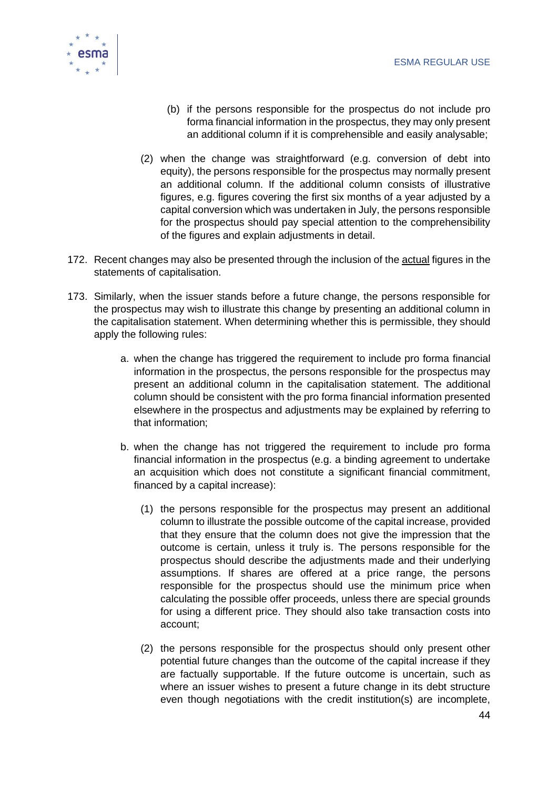

- (b) if the persons responsible for the prospectus do not include pro forma financial information in the prospectus, they may only present an additional column if it is comprehensible and easily analysable;
- (2) when the change was straightforward (e.g. conversion of debt into equity), the persons responsible for the prospectus may normally present an additional column. If the additional column consists of illustrative figures, e.g. figures covering the first six months of a year adjusted by a capital conversion which was undertaken in July, the persons responsible for the prospectus should pay special attention to the comprehensibility of the figures and explain adjustments in detail.
- 172. Recent changes may also be presented through the inclusion of the actual figures in the statements of capitalisation.
- 173. Similarly, when the issuer stands before a future change, the persons responsible for the prospectus may wish to illustrate this change by presenting an additional column in the capitalisation statement. When determining whether this is permissible, they should apply the following rules:
	- a. when the change has triggered the requirement to include pro forma financial information in the prospectus, the persons responsible for the prospectus may present an additional column in the capitalisation statement. The additional column should be consistent with the pro forma financial information presented elsewhere in the prospectus and adjustments may be explained by referring to that information;
	- b. when the change has not triggered the requirement to include pro forma financial information in the prospectus (e.g. a binding agreement to undertake an acquisition which does not constitute a significant financial commitment, financed by a capital increase):
		- (1) the persons responsible for the prospectus may present an additional column to illustrate the possible outcome of the capital increase, provided that they ensure that the column does not give the impression that the outcome is certain, unless it truly is. The persons responsible for the prospectus should describe the adjustments made and their underlying assumptions. If shares are offered at a price range, the persons responsible for the prospectus should use the minimum price when calculating the possible offer proceeds, unless there are special grounds for using a different price. They should also take transaction costs into account;
		- (2) the persons responsible for the prospectus should only present other potential future changes than the outcome of the capital increase if they are factually supportable. If the future outcome is uncertain, such as where an issuer wishes to present a future change in its debt structure even though negotiations with the credit institution(s) are incomplete,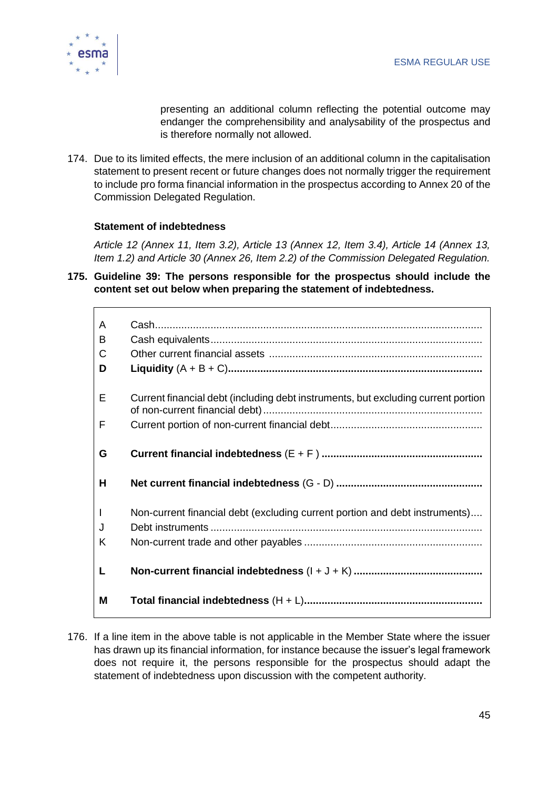

presenting an additional column reflecting the potential outcome may endanger the comprehensibility and analysability of the prospectus and is therefore normally not allowed.

174. Due to its limited effects, the mere inclusion of an additional column in the capitalisation statement to present recent or future changes does not normally trigger the requirement to include pro forma financial information in the prospectus according to Annex 20 of the Commission Delegated Regulation.

#### **Statement of indebtedness**

*Article 12 (Annex 11, Item 3.2), Article 13 (Annex 12, Item 3.4), Article 14 (Annex 13, Item 1.2) and Article 30 (Annex 26, Item 2.2) of the Commission Delegated Regulation.*

**175. Guideline 39: The persons responsible for the prospectus should include the content set out below when preparing the statement of indebtedness.**

| A<br>B<br>C<br>D |                                                                                   |
|------------------|-----------------------------------------------------------------------------------|
| E<br>F           | Current financial debt (including debt instruments, but excluding current portion |
| G                |                                                                                   |
| н                |                                                                                   |
| J<br>K           | Non-current financial debt (excluding current portion and debt instruments)       |
| L                |                                                                                   |
| M                |                                                                                   |

176. If a line item in the above table is not applicable in the Member State where the issuer has drawn up its financial information, for instance because the issuer's legal framework does not require it, the persons responsible for the prospectus should adapt the statement of indebtedness upon discussion with the competent authority.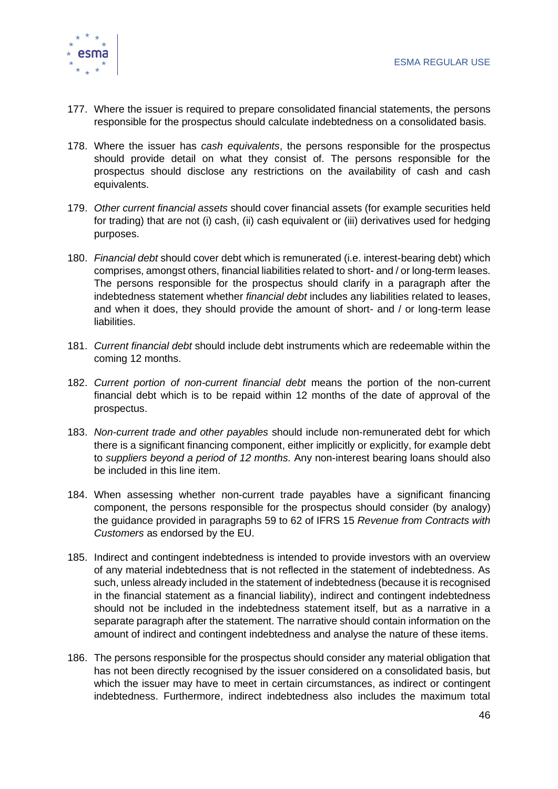

- 177. Where the issuer is required to prepare consolidated financial statements, the persons responsible for the prospectus should calculate indebtedness on a consolidated basis.
- 178. Where the issuer has *cash equivalents*, the persons responsible for the prospectus should provide detail on what they consist of. The persons responsible for the prospectus should disclose any restrictions on the availability of cash and cash equivalents.
- 179. *Other current financial assets* should cover financial assets (for example securities held for trading) that are not (i) cash, (ii) cash equivalent or (iii) derivatives used for hedging purposes.
- 180. *Financial debt* should cover debt which is remunerated (i.e. interest-bearing debt) which comprises, amongst others, financial liabilities related to short- and / or long-term leases. The persons responsible for the prospectus should clarify in a paragraph after the indebtedness statement whether *financial debt* includes any liabilities related to leases, and when it does, they should provide the amount of short- and / or long-term lease liabilities.
- 181. *Current financial debt* should include debt instruments which are redeemable within the coming 12 months.
- 182. *Current portion of non-current financial debt* means the portion of the non-current financial debt which is to be repaid within 12 months of the date of approval of the prospectus.
- 183. *Non-current trade and other payables* should include non-remunerated debt for which there is a significant financing component, either implicitly or explicitly, for example debt to *suppliers beyond a period of 12 months.* Any non-interest bearing loans should also be included in this line item.
- 184. When assessing whether non-current trade payables have a significant financing component, the persons responsible for the prospectus should consider (by analogy) the guidance provided in paragraphs 59 to 62 of IFRS 15 *Revenue from Contracts with Customers* as endorsed by the EU.
- 185. Indirect and contingent indebtedness is intended to provide investors with an overview of any material indebtedness that is not reflected in the statement of indebtedness. As such, unless already included in the statement of indebtedness (because it is recognised in the financial statement as a financial liability), indirect and contingent indebtedness should not be included in the indebtedness statement itself, but as a narrative in a separate paragraph after the statement. The narrative should contain information on the amount of indirect and contingent indebtedness and analyse the nature of these items.
- 186. The persons responsible for the prospectus should consider any material obligation that has not been directly recognised by the issuer considered on a consolidated basis, but which the issuer may have to meet in certain circumstances, as indirect or contingent indebtedness. Furthermore, indirect indebtedness also includes the maximum total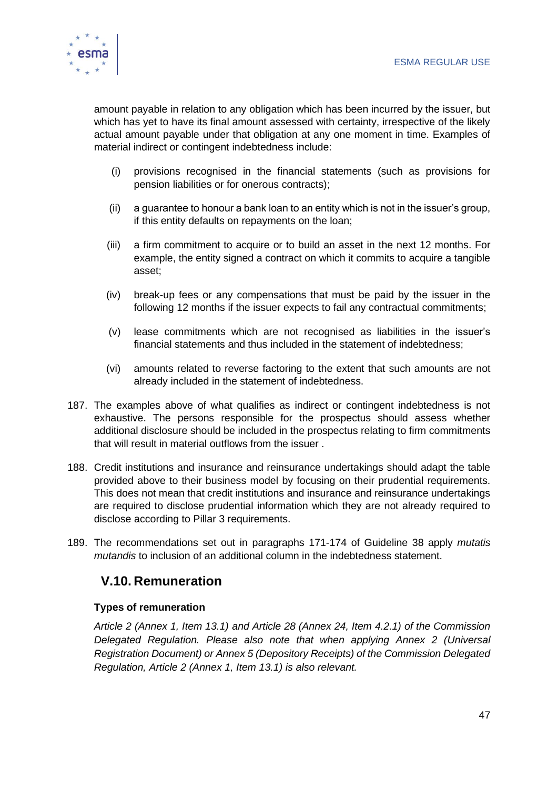

amount payable in relation to any obligation which has been incurred by the issuer, but which has yet to have its final amount assessed with certainty, irrespective of the likely actual amount payable under that obligation at any one moment in time. Examples of material indirect or contingent indebtedness include:

- (i) provisions recognised in the financial statements (such as provisions for pension liabilities or for onerous contracts);
- (ii) a guarantee to honour a bank loan to an entity which is not in the issuer's group, if this entity defaults on repayments on the loan;
- (iii) a firm commitment to acquire or to build an asset in the next 12 months. For example, the entity signed a contract on which it commits to acquire a tangible asset;
- (iv) break-up fees or any compensations that must be paid by the issuer in the following 12 months if the issuer expects to fail any contractual commitments;
- (v) lease commitments which are not recognised as liabilities in the issuer's financial statements and thus included in the statement of indebtedness;
- (vi) amounts related to reverse factoring to the extent that such amounts are not already included in the statement of indebtedness.
- 187. The examples above of what qualifies as indirect or contingent indebtedness is not exhaustive. The persons responsible for the prospectus should assess whether additional disclosure should be included in the prospectus relating to firm commitments that will result in material outflows from the issuer .
- 188. Credit institutions and insurance and reinsurance undertakings should adapt the table provided above to their business model by focusing on their prudential requirements. This does not mean that credit institutions and insurance and reinsurance undertakings are required to disclose prudential information which they are not already required to disclose according to Pillar 3 requirements.
- 189. The recommendations set out in paragraphs 171-174 of Guideline 38 apply *mutatis mutandis* to inclusion of an additional column in the indebtedness statement.

# <span id="page-47-0"></span>**V.10. Remuneration**

#### **Types of remuneration**

*Article 2 (Annex 1, Item 13.1) and Article 28 (Annex 24, Item 4.2.1) of the Commission Delegated Regulation. Please also note that when applying Annex 2 (Universal Registration Document) or Annex 5 (Depository Receipts) of the Commission Delegated Regulation, Article 2 (Annex 1, Item 13.1) is also relevant.*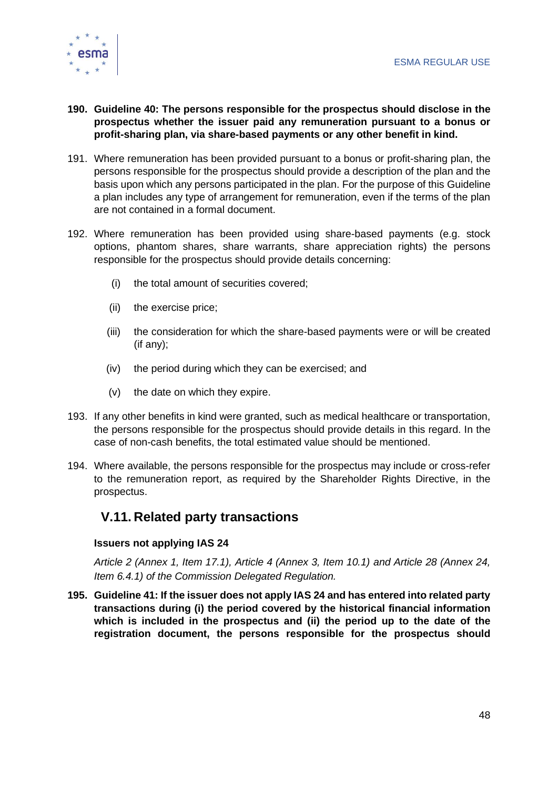

- **190. Guideline 40: The persons responsible for the prospectus should disclose in the prospectus whether the issuer paid any remuneration pursuant to a bonus or profit-sharing plan, via share-based payments or any other benefit in kind.**
- 191. Where remuneration has been provided pursuant to a bonus or profit-sharing plan, the persons responsible for the prospectus should provide a description of the plan and the basis upon which any persons participated in the plan. For the purpose of this Guideline a plan includes any type of arrangement for remuneration, even if the terms of the plan are not contained in a formal document.
- 192. Where remuneration has been provided using share-based payments (e.g. stock options, phantom shares, share warrants, share appreciation rights) the persons responsible for the prospectus should provide details concerning:
	- (i) the total amount of securities covered;
	- (ii) the exercise price;
	- (iii) the consideration for which the share-based payments were or will be created (if any);
	- (iv) the period during which they can be exercised; and
	- (v) the date on which they expire.
- 193. If any other benefits in kind were granted, such as medical healthcare or transportation, the persons responsible for the prospectus should provide details in this regard. In the case of non-cash benefits, the total estimated value should be mentioned.
- 194. Where available, the persons responsible for the prospectus may include or cross-refer to the remuneration report, as required by the Shareholder Rights Directive, in the prospectus.

# <span id="page-48-0"></span>**V.11. Related party transactions**

#### **Issuers not applying IAS 24**

*Article 2 (Annex 1, Item 17.1), Article 4 (Annex 3, Item 10.1) and Article 28 (Annex 24, Item 6.4.1) of the Commission Delegated Regulation.*

**195. Guideline 41: If the issuer does not apply IAS 24 and has entered into related party transactions during (i) the period covered by the historical financial information which is included in the prospectus and (ii) the period up to the date of the registration document, the persons responsible for the prospectus should**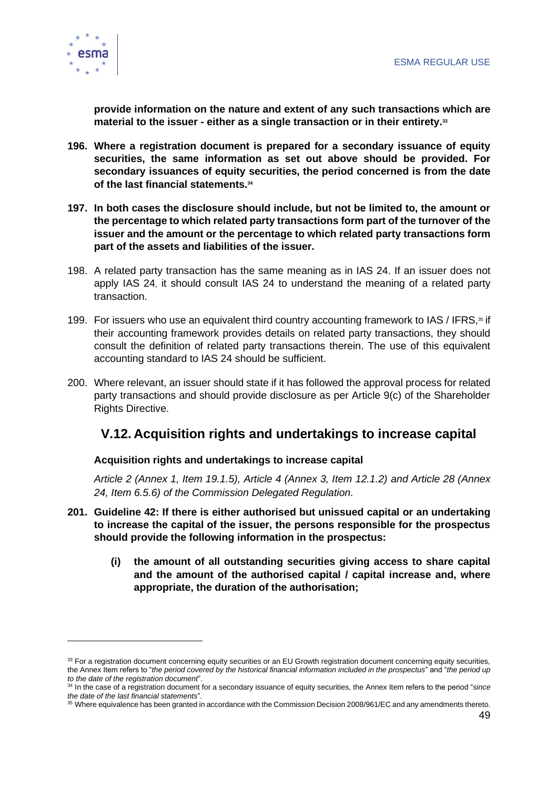

**provide information on the nature and extent of any such transactions which are material to the issuer - either as a single transaction or in their entirety.<sup>33</sup>**

- **196. Where a registration document is prepared for a secondary issuance of equity securities, the same information as set out above should be provided. For secondary issuances of equity securities, the period concerned is from the date of the last financial statements.<sup>34</sup>**
- **197. In both cases the disclosure should include, but not be limited to, the amount or the percentage to which related party transactions form part of the turnover of the issuer and the amount or the percentage to which related party transactions form part of the assets and liabilities of the issuer.**
- 198. A related party transaction has the same meaning as in IAS 24. If an issuer does not apply IAS 24, it should consult IAS 24 to understand the meaning of a related party transaction.
- 199. For issuers who use an equivalent third country accounting framework to IAS / IFRS,<sup>35</sup> if their accounting framework provides details on related party transactions, they should consult the definition of related party transactions therein. The use of this equivalent accounting standard to IAS 24 should be sufficient.
- 200. Where relevant, an issuer should state if it has followed the approval process for related party transactions and should provide disclosure as per Article 9(c) of the Shareholder Rights Directive.

### <span id="page-49-0"></span>**V.12. Acquisition rights and undertakings to increase capital**

#### **Acquisition rights and undertakings to increase capital**

*Article 2 (Annex 1, Item 19.1.5), Article 4 (Annex 3, Item 12.1.2) and Article 28 (Annex 24, Item 6.5.6) of the Commission Delegated Regulation.*

- **201. Guideline 42: If there is either authorised but unissued capital or an undertaking to increase the capital of the issuer, the persons responsible for the prospectus should provide the following information in the prospectus:** 
	- **(i) the amount of all outstanding securities giving access to share capital and the amount of the authorised capital / capital increase and, where appropriate, the duration of the authorisation;**

<sup>33</sup> For a registration document concerning equity securities or an EU Growth registration document concerning equity securities, the Annex Item refers to "*the period covered by the historical financial information included in the prospectus*" and "*the period up to the date of the registration document*".

<sup>34</sup> In the case of a registration document for a secondary issuance of equity securities, the Annex Item refers to the period "*since the date of the last financial statements*".

<sup>35</sup> Where equivalence has been granted in accordance with the Commission Decision 2008/961/EC and any amendments thereto.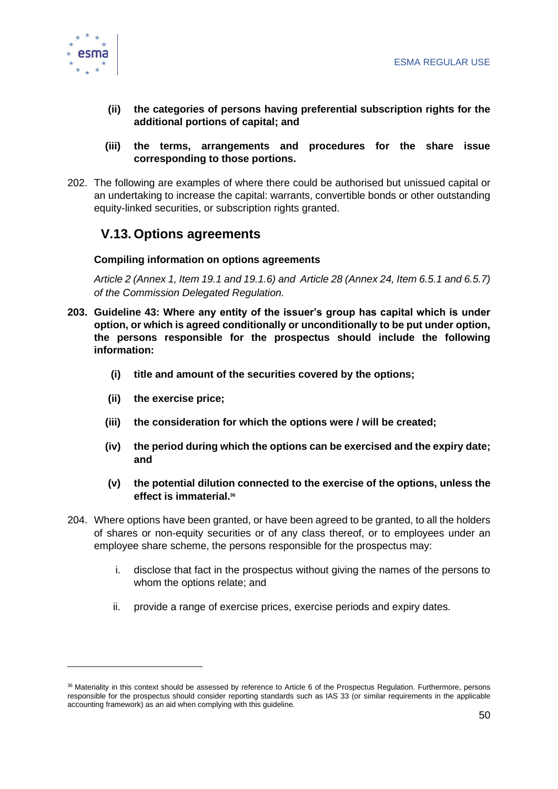

- **(ii) the categories of persons having preferential subscription rights for the additional portions of capital; and**
- **(iii) the terms, arrangements and procedures for the share issue corresponding to those portions.**
- 202. The following are examples of where there could be authorised but unissued capital or an undertaking to increase the capital: warrants, convertible bonds or other outstanding equity-linked securities, or subscription rights granted.

# <span id="page-50-0"></span>**V.13. Options agreements**

#### **Compiling information on options agreements**

*Article 2 (Annex 1, Item 19.1 and 19.1.6) and Article 28 (Annex 24, Item 6.5.1 and 6.5.7) of the Commission Delegated Regulation.*

- **203. Guideline 43: Where any entity of the issuer's group has capital which is under option, or which is agreed conditionally or unconditionally to be put under option, the persons responsible for the prospectus should include the following information:**
	- **(i) title and amount of the securities covered by the options;**
	- **(ii) the exercise price;**
	- **(iii) the consideration for which the options were / will be created;**
	- **(iv) the period during which the options can be exercised and the expiry date; and**
	- **(v) the potential dilution connected to the exercise of the options, unless the effect is immaterial.<sup>36</sup>**
- 204. Where options have been granted, or have been agreed to be granted, to all the holders of shares or non-equity securities or of any class thereof, or to employees under an employee share scheme, the persons responsible for the prospectus may:
	- i. disclose that fact in the prospectus without giving the names of the persons to whom the options relate; and
	- ii. provide a range of exercise prices, exercise periods and expiry dates.

<sup>36</sup> Materiality in this context should be assessed by reference to Article 6 of the Prospectus Regulation. Furthermore, persons responsible for the prospectus should consider reporting standards such as IAS 33 (or similar requirements in the applicable accounting framework) as an aid when complying with this guideline.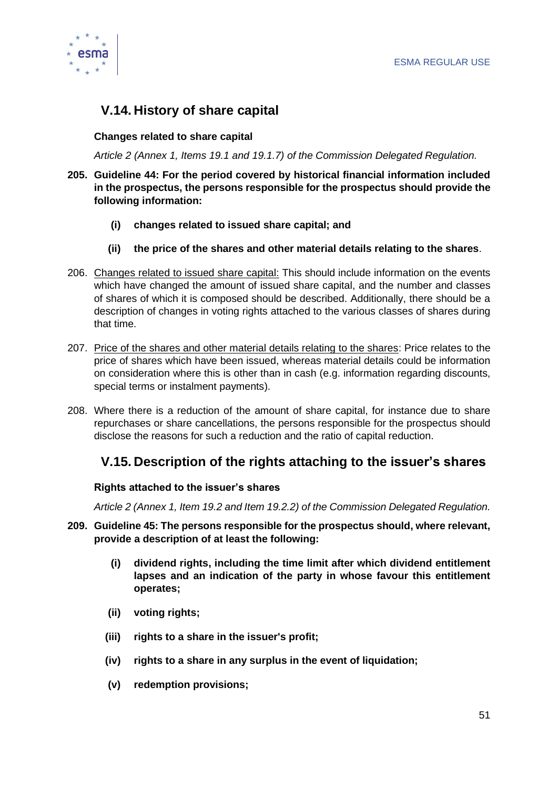

# <span id="page-51-0"></span>**V.14. History of share capital**

#### **Changes related to share capital**

*Article 2 (Annex 1, Items 19.1 and 19.1.7) of the Commission Delegated Regulation.* 

- **205. Guideline 44: For the period covered by historical financial information included in the prospectus, the persons responsible for the prospectus should provide the following information:**
	- **(i) changes related to issued share capital; and**
	- **(ii) the price of the shares and other material details relating to the shares**.
- 206. Changes related to issued share capital: This should include information on the events which have changed the amount of issued share capital, and the number and classes of shares of which it is composed should be described. Additionally, there should be a description of changes in voting rights attached to the various classes of shares during that time.
- 207. Price of the shares and other material details relating to the shares: Price relates to the price of shares which have been issued, whereas material details could be information on consideration where this is other than in cash (e.g. information regarding discounts, special terms or instalment payments).
- 208. Where there is a reduction of the amount of share capital, for instance due to share repurchases or share cancellations, the persons responsible for the prospectus should disclose the reasons for such a reduction and the ratio of capital reduction.

### <span id="page-51-1"></span>**V.15. Description of the rights attaching to the issuer's shares**

#### **Rights attached to the issuer's shares**

*Article 2 (Annex 1, Item 19.2 and Item 19.2.2) of the Commission Delegated Regulation.* 

- **209. Guideline 45: The persons responsible for the prospectus should, where relevant, provide a description of at least the following:**
	- **(i) dividend rights, including the time limit after which dividend entitlement lapses and an indication of the party in whose favour this entitlement operates;**
	- **(ii) voting rights;**
	- **(iii) rights to a share in the issuer's profit;**
	- **(iv) rights to a share in any surplus in the event of liquidation;**
	- **(v) redemption provisions;**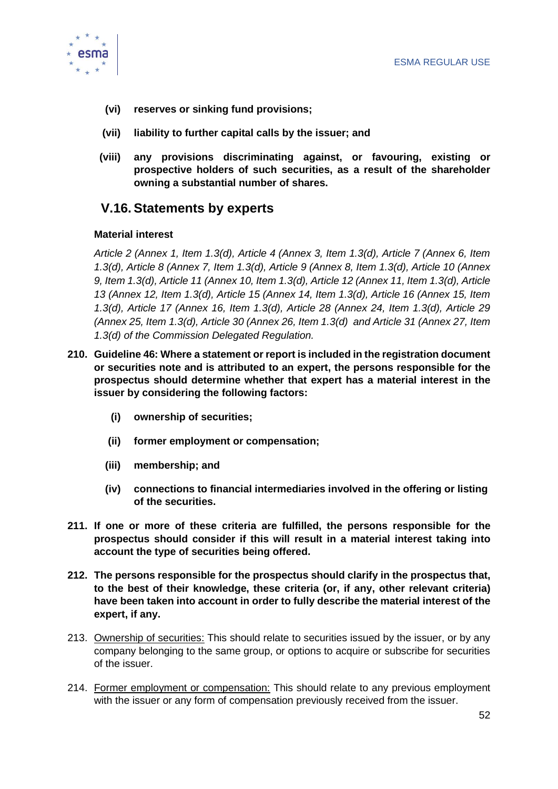

- **(vi) reserves or sinking fund provisions;**
- **(vii) liability to further capital calls by the issuer; and**
- **(viii) any provisions discriminating against, or favouring, existing or prospective holders of such securities, as a result of the shareholder owning a substantial number of shares.**

### <span id="page-52-0"></span>**V.16. Statements by experts**

#### **Material interest**

*Article 2 (Annex 1, Item 1.3(d), Article 4 (Annex 3, Item 1.3(d), Article 7 (Annex 6, Item 1.3(d), Article 8 (Annex 7, Item 1.3(d), Article 9 (Annex 8, Item 1.3(d), Article 10 (Annex 9, Item 1.3(d), Article 11 (Annex 10, Item 1.3(d), Article 12 (Annex 11, Item 1.3(d), Article 13 (Annex 12, Item 1.3(d), Article 15 (Annex 14, Item 1.3(d), Article 16 (Annex 15, Item 1.3(d), Article 17 (Annex 16, Item 1.3(d), Article 28 (Annex 24, Item 1.3(d), Article 29 (Annex 25, Item 1.3(d), Article 30 (Annex 26, Item 1.3(d) and Article 31 (Annex 27, Item 1.3(d) of the Commission Delegated Regulation.* 

- **210. Guideline 46: Where a statement or report is included in the registration document or securities note and is attributed to an expert, the persons responsible for the prospectus should determine whether that expert has a material interest in the issuer by considering the following factors:** 
	- **(i) ownership of securities;**
	- **(ii) former employment or compensation;**
	- **(iii) membership; and**
	- **(iv) connections to financial intermediaries involved in the offering or listing of the securities.**
- **211. If one or more of these criteria are fulfilled, the persons responsible for the prospectus should consider if this will result in a material interest taking into account the type of securities being offered.**
- **212. The persons responsible for the prospectus should clarify in the prospectus that, to the best of their knowledge, these criteria (or, if any, other relevant criteria) have been taken into account in order to fully describe the material interest of the expert, if any.**
- 213. Ownership of securities: This should relate to securities issued by the issuer, or by any company belonging to the same group, or options to acquire or subscribe for securities of the issuer.
- 214. Former employment or compensation: This should relate to any previous employment with the issuer or any form of compensation previously received from the issuer.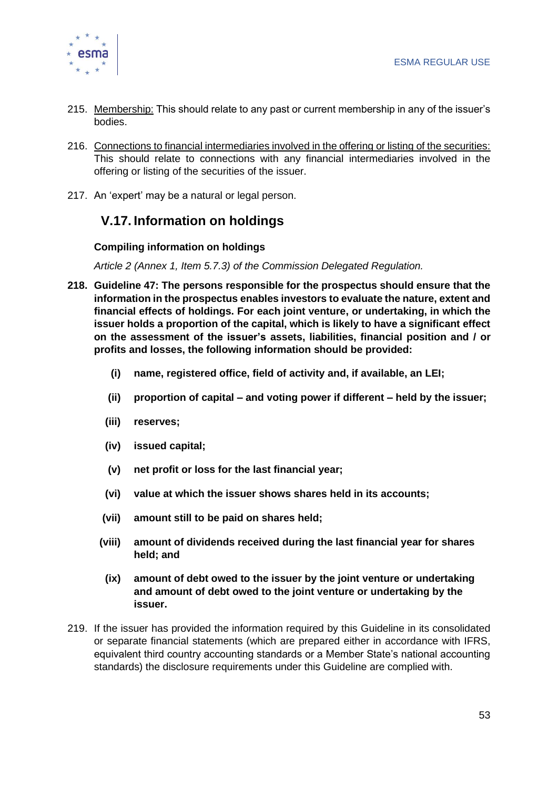

- 215. Membership: This should relate to any past or current membership in any of the issuer's bodies.
- 216. Connections to financial intermediaries involved in the offering or listing of the securities: This should relate to connections with any financial intermediaries involved in the offering or listing of the securities of the issuer.
- <span id="page-53-0"></span>217. An 'expert' may be a natural or legal person.

# **V.17. Information on holdings**

#### **Compiling information on holdings**

*Article 2 (Annex 1, Item 5.7.3) of the Commission Delegated Regulation.*

- **218. Guideline 47: The persons responsible for the prospectus should ensure that the information in the prospectus enables investors to evaluate the nature, extent and financial effects of holdings. For each joint venture, or undertaking, in which the issuer holds a proportion of the capital, which is likely to have a significant effect on the assessment of the issuer's assets, liabilities, financial position and / or profits and losses, the following information should be provided:** 
	- **(i) name, registered office, field of activity and, if available, an LEI;**
	- **(ii) proportion of capital – and voting power if different – held by the issuer;**
	- **(iii) reserves;**
	- **(iv) issued capital;**
	- **(v) net profit or loss for the last financial year;**
	- **(vi) value at which the issuer shows shares held in its accounts;**
	- **(vii) amount still to be paid on shares held;**
	- **(viii) amount of dividends received during the last financial year for shares held; and**
	- **(ix) amount of debt owed to the issuer by the joint venture or undertaking and amount of debt owed to the joint venture or undertaking by the issuer.**
- 219. If the issuer has provided the information required by this Guideline in its consolidated or separate financial statements (which are prepared either in accordance with IFRS, equivalent third country accounting standards or a Member State's national accounting standards) the disclosure requirements under this Guideline are complied with.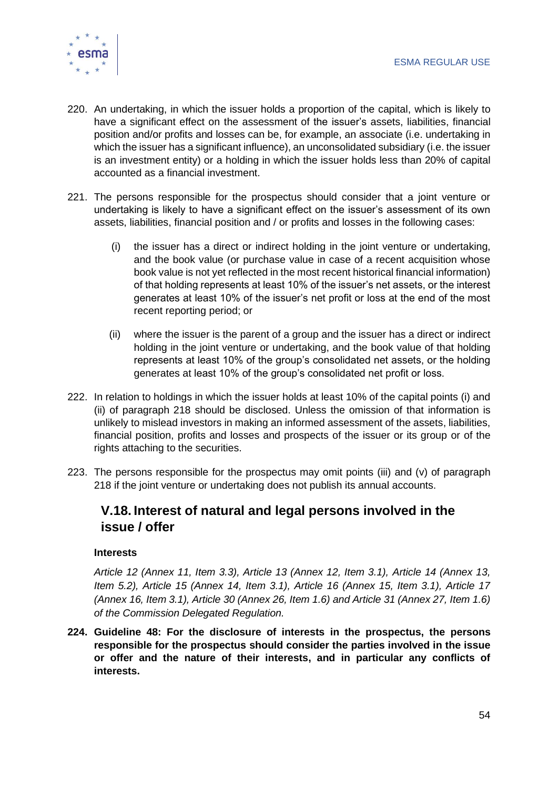

- 220. An undertaking, in which the issuer holds a proportion of the capital, which is likely to have a significant effect on the assessment of the issuer's assets, liabilities, financial position and/or profits and losses can be, for example, an associate (i.e. undertaking in which the issuer has a significant influence), an unconsolidated subsidiary (i.e. the issuer is an investment entity) or a holding in which the issuer holds less than 20% of capital accounted as a financial investment.
- 221. The persons responsible for the prospectus should consider that a joint venture or undertaking is likely to have a significant effect on the issuer's assessment of its own assets, liabilities, financial position and / or profits and losses in the following cases:
	- (i) the issuer has a direct or indirect holding in the joint venture or undertaking, and the book value (or purchase value in case of a recent acquisition whose book value is not yet reflected in the most recent historical financial information) of that holding represents at least 10% of the issuer's net assets, or the interest generates at least 10% of the issuer's net profit or loss at the end of the most recent reporting period; or
	- (ii) where the issuer is the parent of a group and the issuer has a direct or indirect holding in the joint venture or undertaking, and the book value of that holding represents at least 10% of the group's consolidated net assets, or the holding generates at least 10% of the group's consolidated net profit or loss.
- 222. In relation to holdings in which the issuer holds at least 10% of the capital points (i) and (ii) of paragraph 218 should be disclosed. Unless the omission of that information is unlikely to mislead investors in making an informed assessment of the assets, liabilities, financial position, profits and losses and prospects of the issuer or its group or of the rights attaching to the securities.
- 223. The persons responsible for the prospectus may omit points (iii) and (v) of paragraph 218 if the joint venture or undertaking does not publish its annual accounts.

### <span id="page-54-0"></span>**V.18. Interest of natural and legal persons involved in the issue / offer**

#### **Interests**

*Article 12 (Annex 11, Item 3.3), Article 13 (Annex 12, Item 3.1), Article 14 (Annex 13, Item 5.2), Article 15 (Annex 14, Item 3.1), Article 16 (Annex 15, Item 3.1), Article 17 (Annex 16, Item 3.1), Article 30 (Annex 26, Item 1.6) and Article 31 (Annex 27, Item 1.6) of the Commission Delegated Regulation.* 

**224. Guideline 48: For the disclosure of interests in the prospectus, the persons responsible for the prospectus should consider the parties involved in the issue or offer and the nature of their interests, and in particular any conflicts of interests.**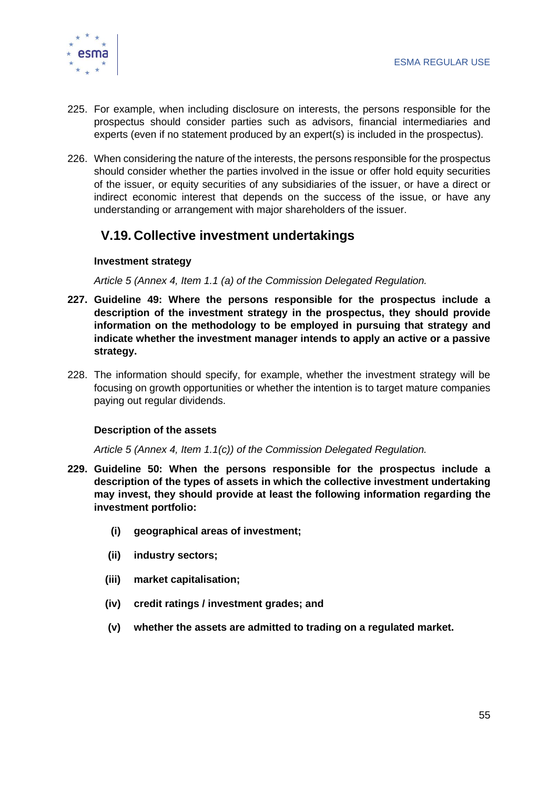

- 225. For example, when including disclosure on interests, the persons responsible for the prospectus should consider parties such as advisors, financial intermediaries and experts (even if no statement produced by an expert(s) is included in the prospectus).
- 226. When considering the nature of the interests, the persons responsible for the prospectus should consider whether the parties involved in the issue or offer hold equity securities of the issuer, or equity securities of any subsidiaries of the issuer, or have a direct or indirect economic interest that depends on the success of the issue, or have any understanding or arrangement with major shareholders of the issuer.

### <span id="page-55-0"></span>**V.19. Collective investment undertakings**

#### **Investment strategy**

*Article 5 (Annex 4, Item 1.1 (a) of the Commission Delegated Regulation.* 

- **227. Guideline 49: Where the persons responsible for the prospectus include a description of the investment strategy in the prospectus, they should provide information on the methodology to be employed in pursuing that strategy and indicate whether the investment manager intends to apply an active or a passive strategy.**
- 228. The information should specify, for example, whether the investment strategy will be focusing on growth opportunities or whether the intention is to target mature companies paying out regular dividends.

#### **Description of the assets**

*Article 5 (Annex 4, Item 1.1(c)) of the Commission Delegated Regulation.* 

- **229. Guideline 50: When the persons responsible for the prospectus include a description of the types of assets in which the collective investment undertaking may invest, they should provide at least the following information regarding the investment portfolio:** 
	- **(i) geographical areas of investment;**
	- **(ii) industry sectors;**
	- **(iii) market capitalisation;**
	- **(iv) credit ratings / investment grades; and**
	- **(v) whether the assets are admitted to trading on a regulated market.**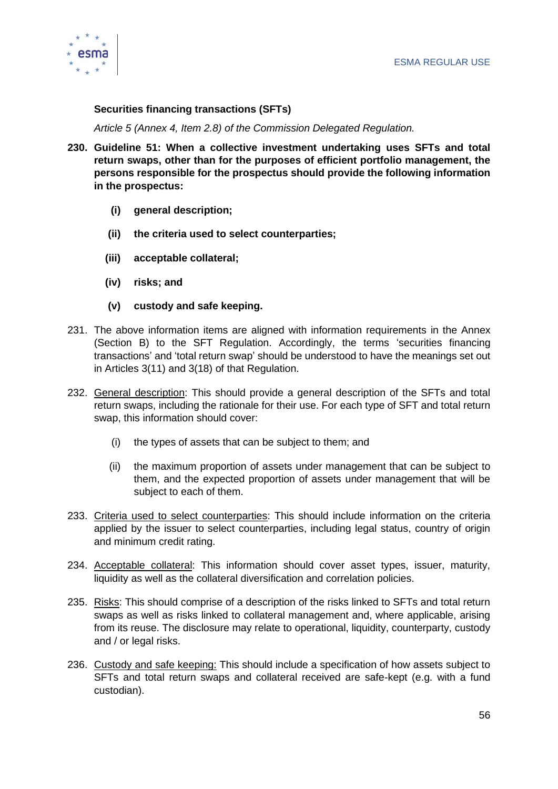

#### **Securities financing transactions (SFTs)**

*Article 5 (Annex 4, Item 2.8) of the Commission Delegated Regulation.* 

- **230. Guideline 51: When a collective investment undertaking uses SFTs and total return swaps, other than for the purposes of efficient portfolio management, the persons responsible for the prospectus should provide the following information in the prospectus:** 
	- **(i) general description;**
	- **(ii) the criteria used to select counterparties;**
	- **(iii) acceptable collateral;**
	- **(iv) risks; and**
	- **(v) custody and safe keeping.**
- 231. The above information items are aligned with information requirements in the Annex (Section B) to the SFT Regulation. Accordingly, the terms 'securities financing transactions' and 'total return swap' should be understood to have the meanings set out in Articles 3(11) and 3(18) of that Regulation.
- 232. General description: This should provide a general description of the SFTs and total return swaps, including the rationale for their use. For each type of SFT and total return swap, this information should cover:
	- (i) the types of assets that can be subject to them; and
	- (ii) the maximum proportion of assets under management that can be subject to them, and the expected proportion of assets under management that will be subject to each of them.
- 233. Criteria used to select counterparties: This should include information on the criteria applied by the issuer to select counterparties, including legal status, country of origin and minimum credit rating.
- 234. Acceptable collateral: This information should cover asset types, issuer, maturity, liquidity as well as the collateral diversification and correlation policies.
- 235. Risks: This should comprise of a description of the risks linked to SFTs and total return swaps as well as risks linked to collateral management and, where applicable, arising from its reuse. The disclosure may relate to operational, liquidity, counterparty, custody and / or legal risks.
- 236. Custody and safe keeping: This should include a specification of how assets subject to SFTs and total return swaps and collateral received are safe-kept (e.g. with a fund custodian).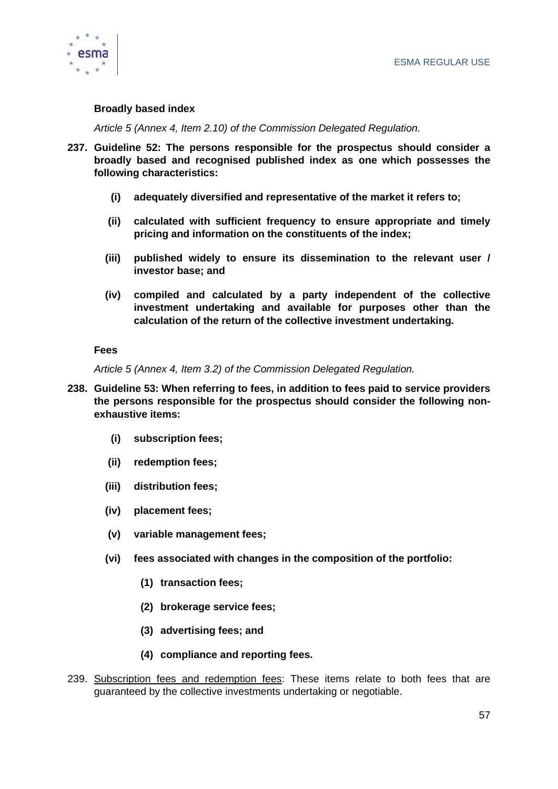

#### **Broadly based index**

*Article 5 (Annex 4, Item 2.10) of the Commission Delegated Regulation.*

- **237. Guideline 52: The persons responsible for the prospectus should consider a broadly based and recognised published index as one which possesses the following characteristics:** 
	- **(i) adequately diversified and representative of the market it refers to;**
	- **(ii) calculated with sufficient frequency to ensure appropriate and timely pricing and information on the constituents of the index;**
	- **(iii) published widely to ensure its dissemination to the relevant user / investor base; and**
	- **(iv) compiled and calculated by a party independent of the collective investment undertaking and available for purposes other than the calculation of the return of the collective investment undertaking.**

#### **Fees**

*Article 5 (Annex 4, Item 3.2) of the Commission Delegated Regulation.*

- **238. Guideline 53: When referring to fees, in addition to fees paid to service providers the persons responsible for the prospectus should consider the following nonexhaustive items:** 
	- **(i) subscription fees;**
	- **(ii) redemption fees;**
	- **(iii) distribution fees;**
	- **(iv) placement fees;**
	- **(v) variable management fees;**
	- **(vi) fees associated with changes in the composition of the portfolio:** 
		- **(1) transaction fees;**
		- **(2) brokerage service fees;**
		- **(3) advertising fees; and**
		- **(4) compliance and reporting fees.**
- 239. Subscription fees and redemption fees: These items relate to both fees that are guaranteed by the collective investments undertaking or negotiable.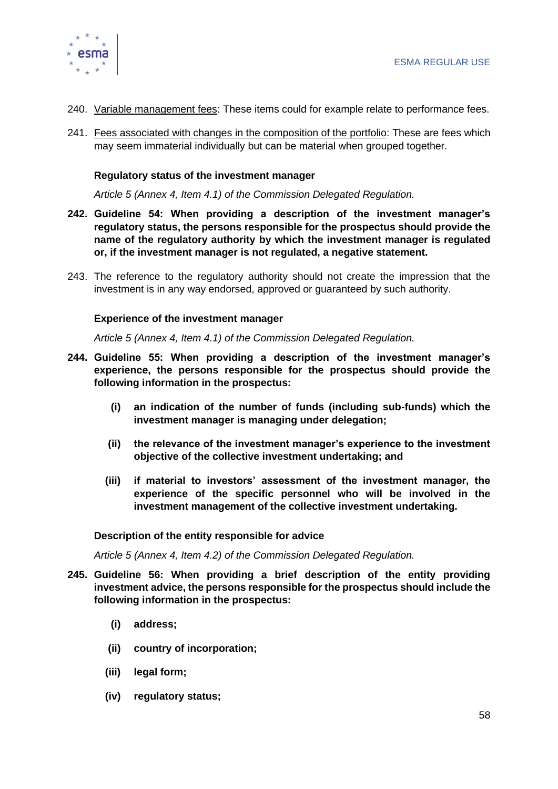

- 240. Variable management fees: These items could for example relate to performance fees.
- 241. Fees associated with changes in the composition of the portfolio: These are fees which may seem immaterial individually but can be material when grouped together.

#### **Regulatory status of the investment manager**

*Article 5 (Annex 4, Item 4.1) of the Commission Delegated Regulation.* 

- **242. Guideline 54: When providing a description of the investment manager's regulatory status, the persons responsible for the prospectus should provide the name of the regulatory authority by which the investment manager is regulated or, if the investment manager is not regulated, a negative statement.**
- 243. The reference to the regulatory authority should not create the impression that the investment is in any way endorsed, approved or guaranteed by such authority.

#### **Experience of the investment manager**

*Article 5 (Annex 4, Item 4.1) of the Commission Delegated Regulation.* 

- **244. Guideline 55: When providing a description of the investment manager's experience, the persons responsible for the prospectus should provide the following information in the prospectus:** 
	- **(i) an indication of the number of funds (including sub-funds) which the investment manager is managing under delegation;**
	- **(ii) the relevance of the investment manager's experience to the investment objective of the collective investment undertaking; and**
	- **(iii) if material to investors' assessment of the investment manager, the experience of the specific personnel who will be involved in the investment management of the collective investment undertaking.**

#### **Description of the entity responsible for advice**

*Article 5 (Annex 4, Item 4.2) of the Commission Delegated Regulation.* 

- **245. Guideline 56: When providing a brief description of the entity providing investment advice, the persons responsible for the prospectus should include the following information in the prospectus:**
	- **(i) address;**
	- **(ii) country of incorporation;**
	- **(iii) legal form;**
	- **(iv) regulatory status;**